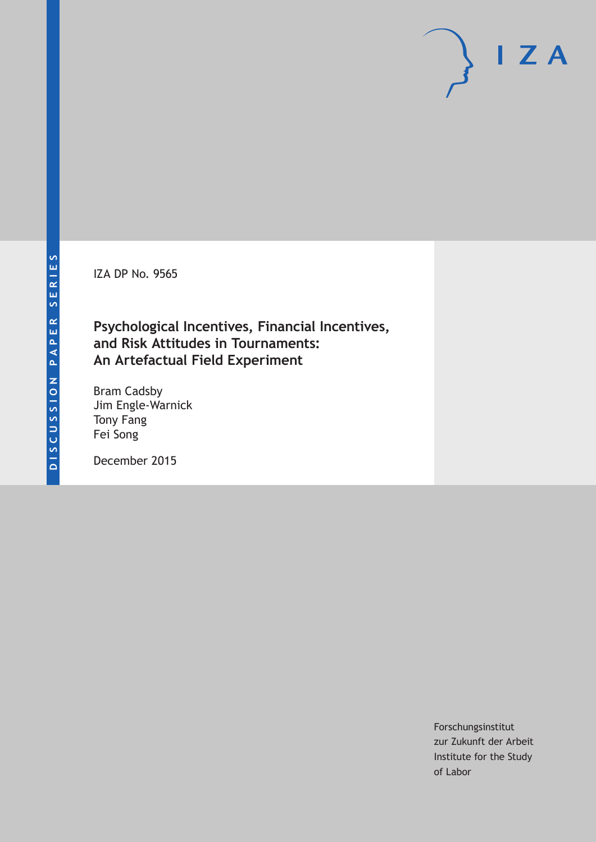IZA DP No. 9565

# **Psychological Incentives, Financial Incentives, and Risk Attitudes in Tournaments: An Artefactual Field Experiment**

Bram Cadsby Jim Engle-Warnick Tony Fang Fei Song

December 2015

Forschungsinstitut zur Zukunft der Arbeit Institute for the Study of Labor

 $I Z A$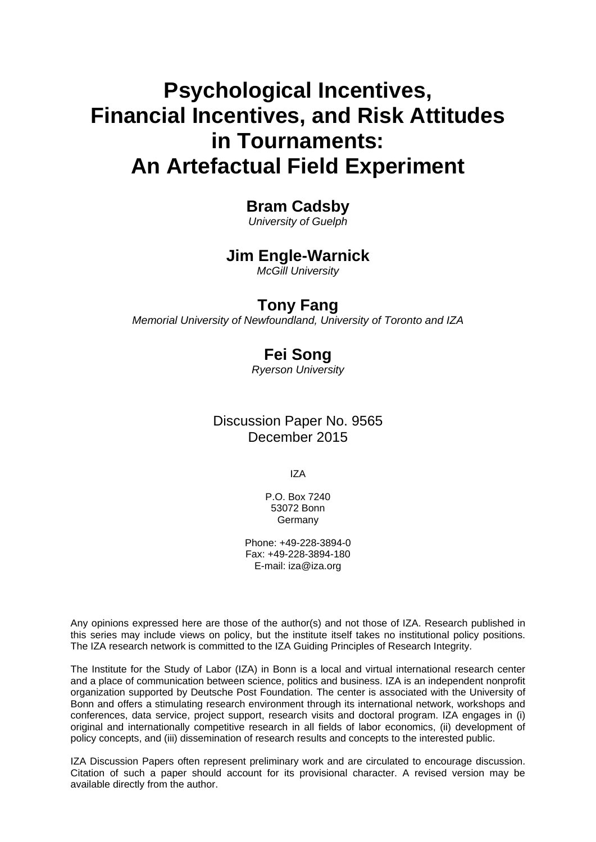# **Psychological Incentives, Financial Incentives, and Risk Attitudes in Tournaments: An Artefactual Field Experiment**

### **Bram Cadsby**

*University of Guelph* 

### **Jim Engle-Warnick**

*McGill University* 

### **Tony Fang**

*Memorial University of Newfoundland, University of Toronto and IZA*

# **Fei Song**

*Ryerson University*

Discussion Paper No. 9565 December 2015

IZA

P.O. Box 7240 53072 Bonn **Germany** 

Phone: +49-228-3894-0 Fax: +49-228-3894-180 E-mail: iza@iza.org

Any opinions expressed here are those of the author(s) and not those of IZA. Research published in this series may include views on policy, but the institute itself takes no institutional policy positions. The IZA research network is committed to the IZA Guiding Principles of Research Integrity.

The Institute for the Study of Labor (IZA) in Bonn is a local and virtual international research center and a place of communication between science, politics and business. IZA is an independent nonprofit organization supported by Deutsche Post Foundation. The center is associated with the University of Bonn and offers a stimulating research environment through its international network, workshops and conferences, data service, project support, research visits and doctoral program. IZA engages in (i) original and internationally competitive research in all fields of labor economics, (ii) development of policy concepts, and (iii) dissemination of research results and concepts to the interested public.

IZA Discussion Papers often represent preliminary work and are circulated to encourage discussion. Citation of such a paper should account for its provisional character. A revised version may be available directly from the author.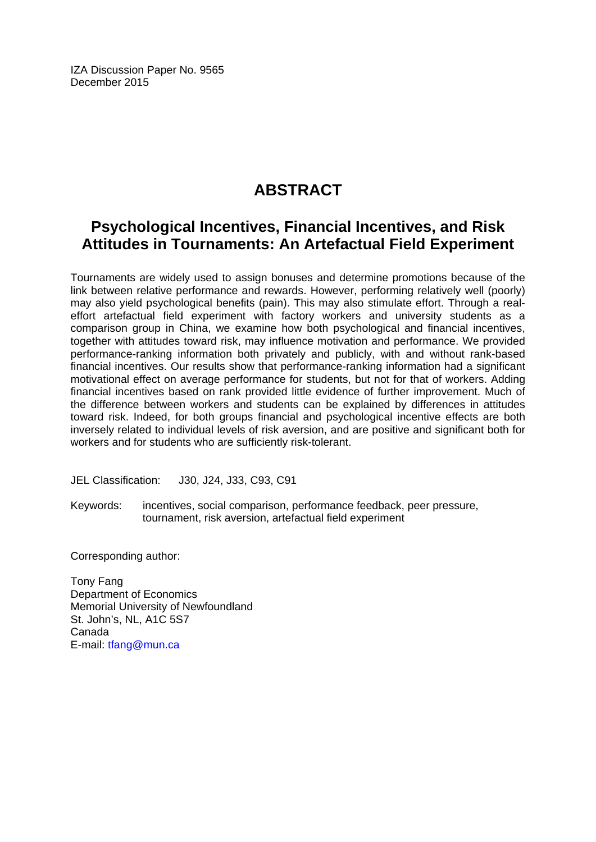IZA Discussion Paper No. 9565 December 2015

# **ABSTRACT**

### **Psychological Incentives, Financial Incentives, and Risk Attitudes in Tournaments: An Artefactual Field Experiment**

Tournaments are widely used to assign bonuses and determine promotions because of the link between relative performance and rewards. However, performing relatively well (poorly) may also yield psychological benefits (pain). This may also stimulate effort. Through a realeffort artefactual field experiment with factory workers and university students as a comparison group in China, we examine how both psychological and financial incentives, together with attitudes toward risk, may influence motivation and performance. We provided performance-ranking information both privately and publicly, with and without rank-based financial incentives. Our results show that performance-ranking information had a significant motivational effect on average performance for students, but not for that of workers. Adding financial incentives based on rank provided little evidence of further improvement. Much of the difference between workers and students can be explained by differences in attitudes toward risk. Indeed, for both groups financial and psychological incentive effects are both inversely related to individual levels of risk aversion, and are positive and significant both for workers and for students who are sufficiently risk-tolerant.

JEL Classification: J30, J24, J33, C93, C91

Keywords: incentives, social comparison, performance feedback, peer pressure, tournament, risk aversion, artefactual field experiment

Corresponding author:

Tony Fang Department of Economics Memorial University of Newfoundland St. John's, NL, A1C 5S7 Canada E-mail: tfang@mun.ca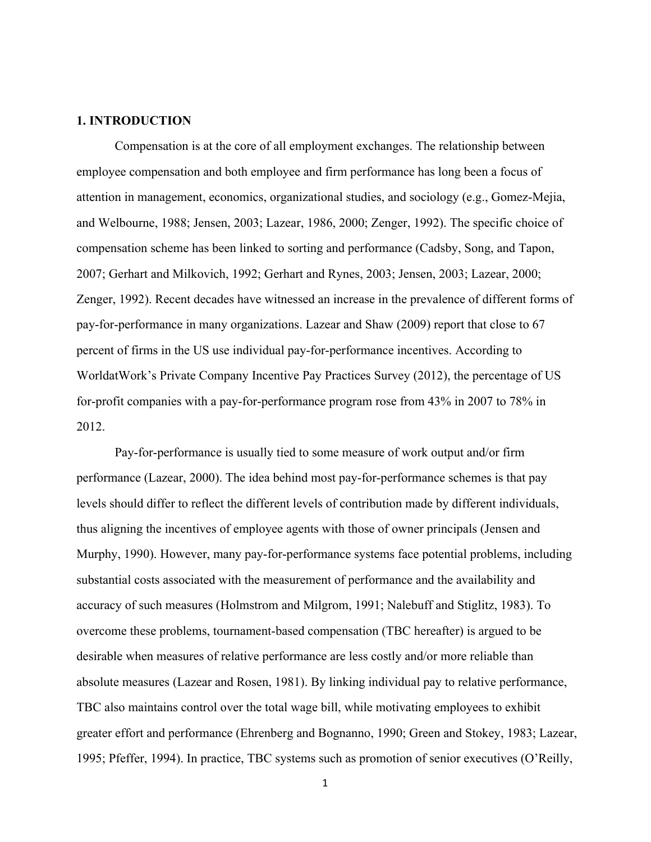#### **1. INTRODUCTION**

Compensation is at the core of all employment exchanges. The relationship between employee compensation and both employee and firm performance has long been a focus of attention in management, economics, organizational studies, and sociology (e.g., Gomez-Mejia, and Welbourne, 1988; Jensen, 2003; Lazear, 1986, 2000; Zenger, 1992). The specific choice of compensation scheme has been linked to sorting and performance (Cadsby, Song, and Tapon, 2007; Gerhart and Milkovich, 1992; Gerhart and Rynes, 2003; Jensen, 2003; Lazear, 2000; Zenger, 1992). Recent decades have witnessed an increase in the prevalence of different forms of pay-for-performance in many organizations. Lazear and Shaw (2009) report that close to 67 percent of firms in the US use individual pay-for-performance incentives. According to WorldatWork's Private Company Incentive Pay Practices Survey (2012), the percentage of US for-profit companies with a pay-for-performance program rose from 43% in 2007 to 78% in 2012.

Pay-for-performance is usually tied to some measure of work output and/or firm performance (Lazear, 2000). The idea behind most pay-for-performance schemes is that pay levels should differ to reflect the different levels of contribution made by different individuals, thus aligning the incentives of employee agents with those of owner principals (Jensen and Murphy, 1990). However, many pay-for-performance systems face potential problems, including substantial costs associated with the measurement of performance and the availability and accuracy of such measures (Holmstrom and Milgrom, 1991; Nalebuff and Stiglitz, 1983). To overcome these problems, tournament-based compensation (TBC hereafter) is argued to be desirable when measures of relative performance are less costly and/or more reliable than absolute measures (Lazear and Rosen, 1981). By linking individual pay to relative performance, TBC also maintains control over the total wage bill, while motivating employees to exhibit greater effort and performance (Ehrenberg and Bognanno, 1990; Green and Stokey, 1983; Lazear, 1995; Pfeffer, 1994). In practice, TBC systems such as promotion of senior executives (O'Reilly,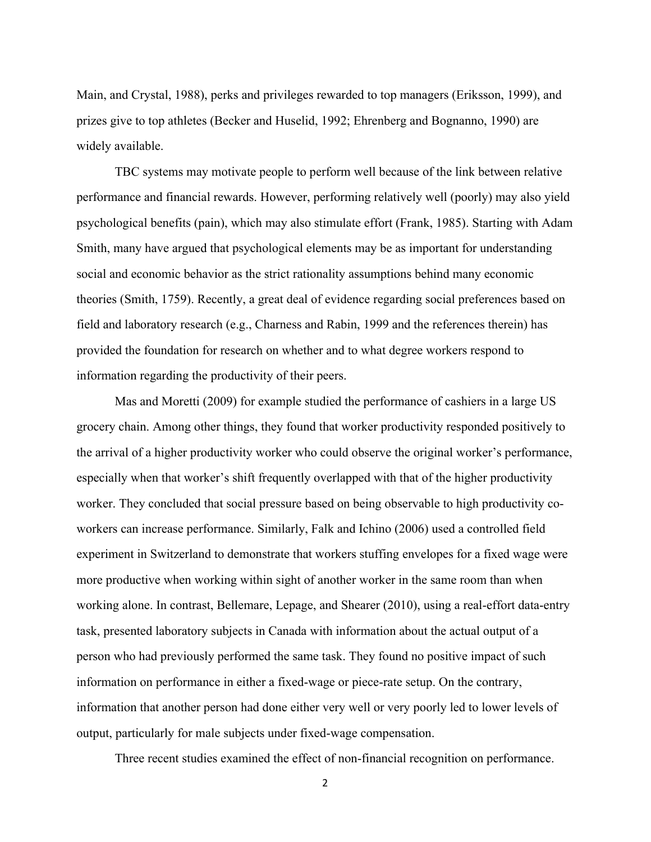Main, and Crystal, 1988), perks and privileges rewarded to top managers (Eriksson, 1999), and prizes give to top athletes (Becker and Huselid, 1992; Ehrenberg and Bognanno, 1990) are widely available.

TBC systems may motivate people to perform well because of the link between relative performance and financial rewards. However, performing relatively well (poorly) may also yield psychological benefits (pain), which may also stimulate effort (Frank, 1985). Starting with Adam Smith, many have argued that psychological elements may be as important for understanding social and economic behavior as the strict rationality assumptions behind many economic theories (Smith, 1759). Recently, a great deal of evidence regarding social preferences based on field and laboratory research (e.g., Charness and Rabin, 1999 and the references therein) has provided the foundation for research on whether and to what degree workers respond to information regarding the productivity of their peers.

Mas and Moretti (2009) for example studied the performance of cashiers in a large US grocery chain. Among other things, they found that worker productivity responded positively to the arrival of a higher productivity worker who could observe the original worker's performance, especially when that worker's shift frequently overlapped with that of the higher productivity worker. They concluded that social pressure based on being observable to high productivity coworkers can increase performance. Similarly, Falk and Ichino (2006) used a controlled field experiment in Switzerland to demonstrate that workers stuffing envelopes for a fixed wage were more productive when working within sight of another worker in the same room than when working alone. In contrast, Bellemare, Lepage, and Shearer (2010), using a real-effort data-entry task, presented laboratory subjects in Canada with information about the actual output of a person who had previously performed the same task. They found no positive impact of such information on performance in either a fixed-wage or piece-rate setup. On the contrary, information that another person had done either very well or very poorly led to lower levels of output, particularly for male subjects under fixed-wage compensation.

Three recent studies examined the effect of non-financial recognition on performance.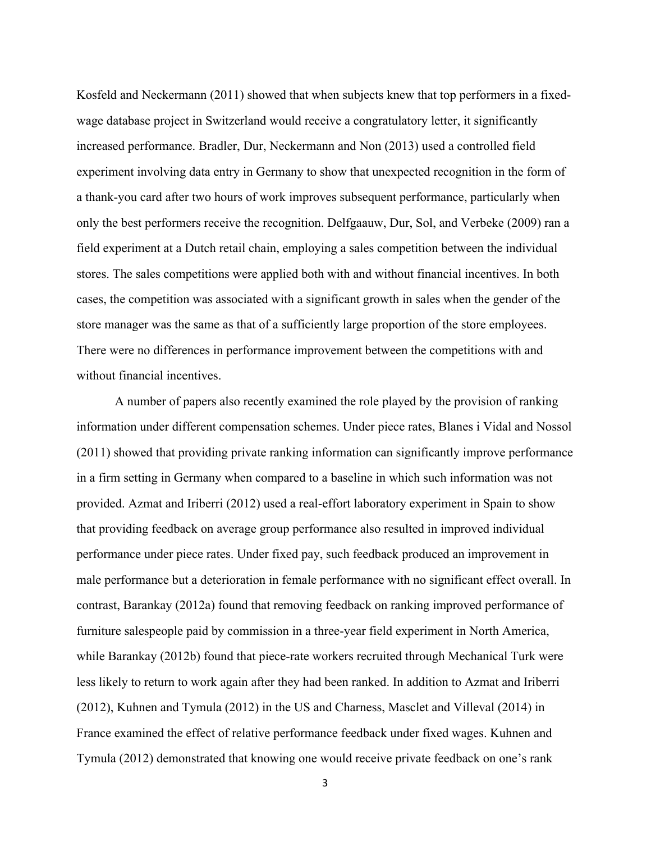Kosfeld and Neckermann (2011) showed that when subjects knew that top performers in a fixedwage database project in Switzerland would receive a congratulatory letter, it significantly increased performance. Bradler, Dur, Neckermann and Non (2013) used a controlled field experiment involving data entry in Germany to show that unexpected recognition in the form of a thank-you card after two hours of work improves subsequent performance, particularly when only the best performers receive the recognition. Delfgaauw, Dur, Sol, and Verbeke (2009) ran a field experiment at a Dutch retail chain, employing a sales competition between the individual stores. The sales competitions were applied both with and without financial incentives. In both cases, the competition was associated with a significant growth in sales when the gender of the store manager was the same as that of a sufficiently large proportion of the store employees. There were no differences in performance improvement between the competitions with and without financial incentives.

A number of papers also recently examined the role played by the provision of ranking information under different compensation schemes. Under piece rates, Blanes i Vidal and Nossol (2011) showed that providing private ranking information can significantly improve performance in a firm setting in Germany when compared to a baseline in which such information was not provided. Azmat and Iriberri (2012) used a real-effort laboratory experiment in Spain to show that providing feedback on average group performance also resulted in improved individual performance under piece rates. Under fixed pay, such feedback produced an improvement in male performance but a deterioration in female performance with no significant effect overall. In contrast, Barankay (2012a) found that removing feedback on ranking improved performance of furniture salespeople paid by commission in a three-year field experiment in North America, while Barankay (2012b) found that piece-rate workers recruited through Mechanical Turk were less likely to return to work again after they had been ranked. In addition to Azmat and Iriberri (2012), Kuhnen and Tymula (2012) in the US and Charness, Masclet and Villeval (2014) in France examined the effect of relative performance feedback under fixed wages. Kuhnen and Tymula (2012) demonstrated that knowing one would receive private feedback on one's rank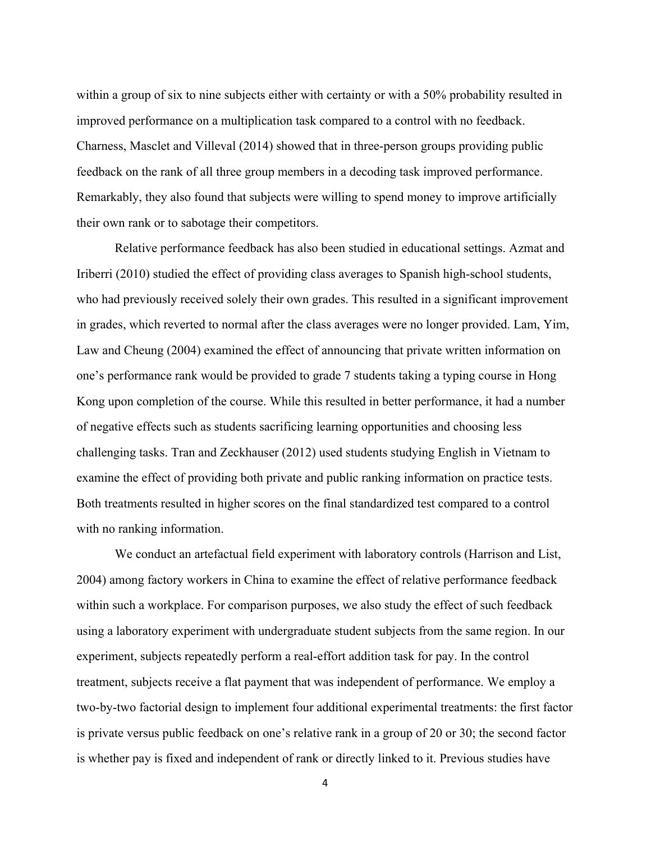within a group of six to nine subjects either with certainty or with a 50% probability resulted in improved performance on a multiplication task compared to a control with no feedback. Charness, Masclet and Villeval (2014) showed that in three-person groups providing public feedback on the rank of all three group members in a decoding task improved performance. Remarkably, they also found that subjects were willing to spend money to improve artificially their own rank or to sabotage their competitors.

Relative performance feedback has also been studied in educational settings. Azmat and Iriberri (2010) studied the effect of providing class averages to Spanish high-school students, who had previously received solely their own grades. This resulted in a significant improvement in grades, which reverted to normal after the class averages were no longer provided. Lam, Yim, Law and Cheung (2004) examined the effect of announcing that private written information on one's performance rank would be provided to grade 7 students taking a typing course in Hong Kong upon completion of the course. While this resulted in better performance, it had a number of negative effects such as students sacrificing learning opportunities and choosing less challenging tasks. Tran and Zeckhauser (2012) used students studying English in Vietnam to examine the effect of providing both private and public ranking information on practice tests. Both treatments resulted in higher scores on the final standardized test compared to a control with no ranking information.

We conduct an artefactual field experiment with laboratory controls (Harrison and List, 2004) among factory workers in China to examine the effect of relative performance feedback within such a workplace. For comparison purposes, we also study the effect of such feedback using a laboratory experiment with undergraduate student subjects from the same region. In our experiment, subjects repeatedly perform a real-effort addition task for pay. In the control treatment, subjects receive a flat payment that was independent of performance. We employ a two-by-two factorial design to implement four additional experimental treatments: the first factor is private versus public feedback on one's relative rank in a group of 20 or 30; the second factor is whether pay is fixed and independent of rank or directly linked to it. Previous studies have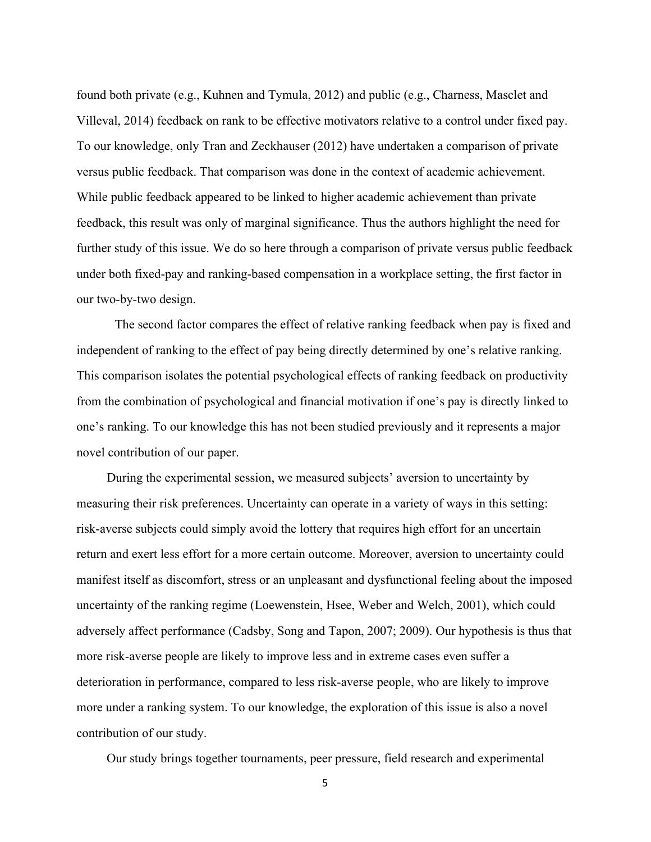found both private (e.g., Kuhnen and Tymula, 2012) and public (e.g., Charness, Masclet and Villeval, 2014) feedback on rank to be effective motivators relative to a control under fixed pay. To our knowledge, only Tran and Zeckhauser (2012) have undertaken a comparison of private versus public feedback. That comparison was done in the context of academic achievement. While public feedback appeared to be linked to higher academic achievement than private feedback, this result was only of marginal significance. Thus the authors highlight the need for further study of this issue. We do so here through a comparison of private versus public feedback under both fixed-pay and ranking-based compensation in a workplace setting, the first factor in our two-by-two design.

The second factor compares the effect of relative ranking feedback when pay is fixed and independent of ranking to the effect of pay being directly determined by one's relative ranking. This comparison isolates the potential psychological effects of ranking feedback on productivity from the combination of psychological and financial motivation if one's pay is directly linked to one's ranking. To our knowledge this has not been studied previously and it represents a major novel contribution of our paper.

During the experimental session, we measured subjects' aversion to uncertainty by measuring their risk preferences. Uncertainty can operate in a variety of ways in this setting: risk-averse subjects could simply avoid the lottery that requires high effort for an uncertain return and exert less effort for a more certain outcome. Moreover, aversion to uncertainty could manifest itself as discomfort, stress or an unpleasant and dysfunctional feeling about the imposed uncertainty of the ranking regime (Loewenstein, Hsee, Weber and Welch, 2001), which could adversely affect performance (Cadsby, Song and Tapon, 2007; 2009). Our hypothesis is thus that more risk-averse people are likely to improve less and in extreme cases even suffer a deterioration in performance, compared to less risk-averse people, who are likely to improve more under a ranking system. To our knowledge, the exploration of this issue is also a novel contribution of our study.

Our study brings together tournaments, peer pressure, field research and experimental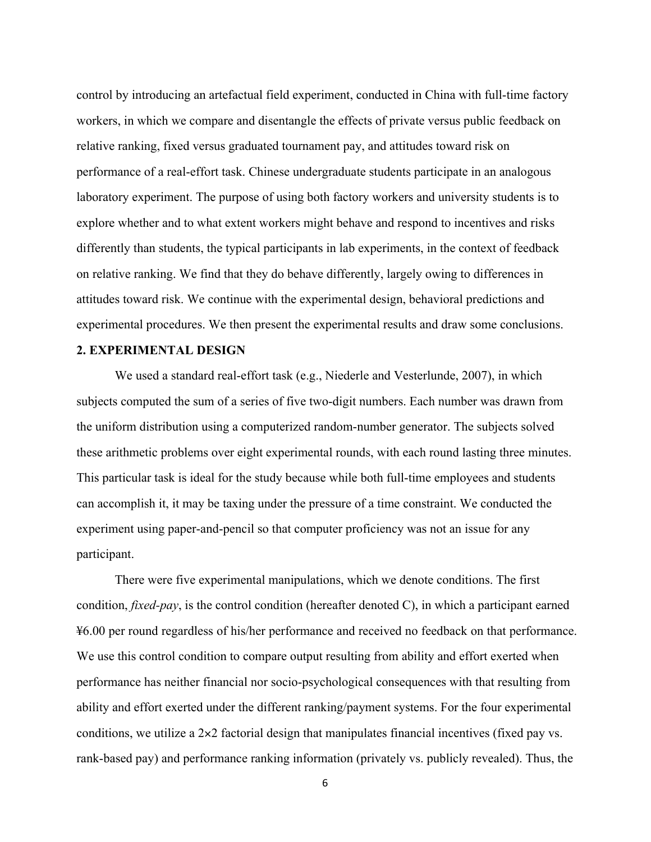control by introducing an artefactual field experiment, conducted in China with full-time factory workers, in which we compare and disentangle the effects of private versus public feedback on relative ranking, fixed versus graduated tournament pay, and attitudes toward risk on performance of a real-effort task. Chinese undergraduate students participate in an analogous laboratory experiment. The purpose of using both factory workers and university students is to explore whether and to what extent workers might behave and respond to incentives and risks differently than students, the typical participants in lab experiments, in the context of feedback on relative ranking. We find that they do behave differently, largely owing to differences in attitudes toward risk. We continue with the experimental design, behavioral predictions and experimental procedures. We then present the experimental results and draw some conclusions.

#### **2. EXPERIMENTAL DESIGN**

We used a standard real-effort task (e.g., Niederle and Vesterlunde, 2007), in which subjects computed the sum of a series of five two-digit numbers. Each number was drawn from the uniform distribution using a computerized random-number generator. The subjects solved these arithmetic problems over eight experimental rounds, with each round lasting three minutes. This particular task is ideal for the study because while both full-time employees and students can accomplish it, it may be taxing under the pressure of a time constraint. We conducted the experiment using paper-and-pencil so that computer proficiency was not an issue for any participant.

There were five experimental manipulations, which we denote conditions. The first condition, *fixed-pay*, is the control condition (hereafter denoted C), in which a participant earned ¥6.00 per round regardless of his/her performance and received no feedback on that performance. We use this control condition to compare output resulting from ability and effort exerted when performance has neither financial nor socio-psychological consequences with that resulting from ability and effort exerted under the different ranking/payment systems. For the four experimental conditions, we utilize a 2×2 factorial design that manipulates financial incentives (fixed pay vs. rank-based pay) and performance ranking information (privately vs. publicly revealed). Thus, the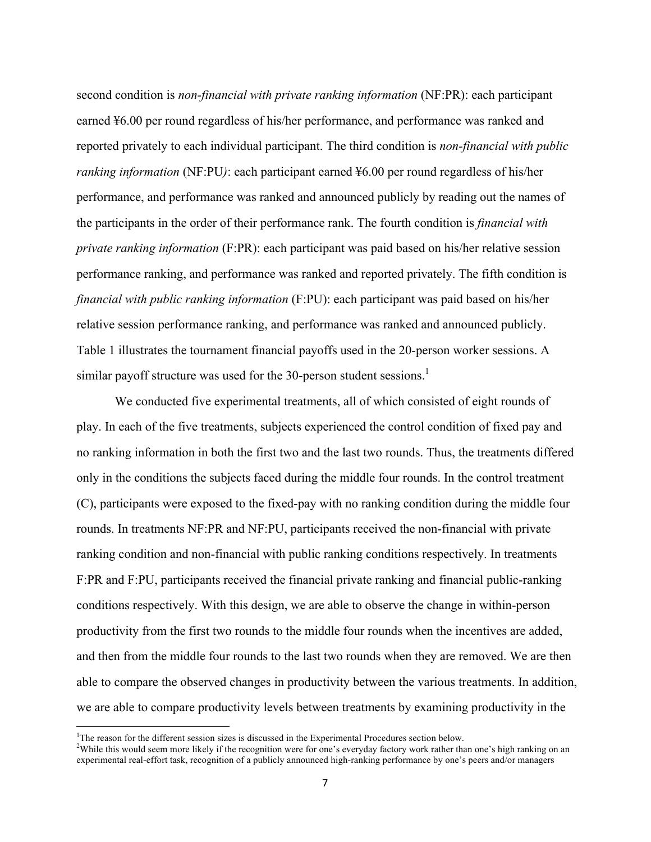second condition is *non-financial with private ranking information* (NF:PR): each participant earned ¥6.00 per round regardless of his/her performance, and performance was ranked and reported privately to each individual participant. The third condition is *non-financial with public ranking information* (NF:PU*)*: each participant earned ¥6.00 per round regardless of his/her performance, and performance was ranked and announced publicly by reading out the names of the participants in the order of their performance rank. The fourth condition is *financial with private ranking information* (F:PR): each participant was paid based on his/her relative session performance ranking, and performance was ranked and reported privately. The fifth condition is *financial with public ranking information* (F:PU): each participant was paid based on his/her relative session performance ranking, and performance was ranked and announced publicly. Table 1 illustrates the tournament financial payoffs used in the 20-person worker sessions. A similar payoff structure was used for the 30-person student sessions.<sup>1</sup>

We conducted five experimental treatments, all of which consisted of eight rounds of play. In each of the five treatments, subjects experienced the control condition of fixed pay and no ranking information in both the first two and the last two rounds. Thus, the treatments differed only in the conditions the subjects faced during the middle four rounds. In the control treatment (C), participants were exposed to the fixed-pay with no ranking condition during the middle four rounds. In treatments NF:PR and NF:PU, participants received the non-financial with private ranking condition and non-financial with public ranking conditions respectively. In treatments F:PR and F:PU, participants received the financial private ranking and financial public-ranking conditions respectively. With this design, we are able to observe the change in within-person productivity from the first two rounds to the middle four rounds when the incentives are added, and then from the middle four rounds to the last two rounds when they are removed. We are then able to compare the observed changes in productivity between the various treatments. In addition, we are able to compare productivity levels between treatments by examining productivity in the

<u> 1989 - Johann Stein, fransk politik (d. 1989)</u>

<sup>&</sup>lt;sup>1</sup>The reason for the different session sizes is discussed in the Experimental Procedures section below.<br><sup>2</sup>While this would seem more likely if the recognition were for one's averyday fectory work rather that

<sup>&</sup>lt;sup>2</sup>While this would seem more likely if the recognition were for one's everyday factory work rather than one's high ranking on an experimental real-effort task, recognition of a publicly announced high-ranking performance by one's peers and/or managers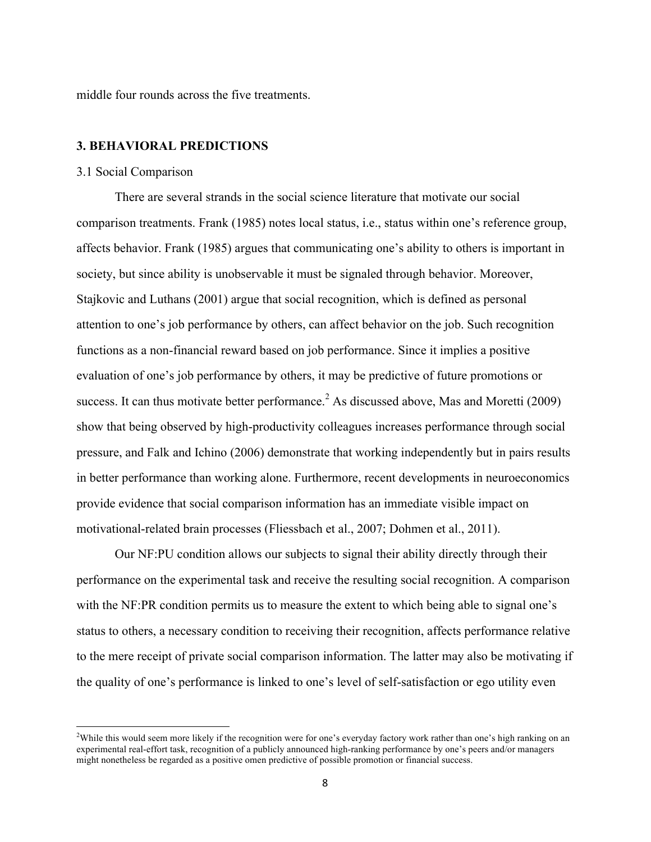middle four rounds across the five treatments.

#### **3. BEHAVIORAL PREDICTIONS**

#### 3.1 Social Comparison

<u> 1989 - Johann Stein, fransk politik (d. 1989)</u>

There are several strands in the social science literature that motivate our social comparison treatments. Frank (1985) notes local status, i.e., status within one's reference group, affects behavior. Frank (1985) argues that communicating one's ability to others is important in society, but since ability is unobservable it must be signaled through behavior. Moreover, Stajkovic and Luthans (2001) argue that social recognition, which is defined as personal attention to one's job performance by others, can affect behavior on the job. Such recognition functions as a non-financial reward based on job performance. Since it implies a positive evaluation of one's job performance by others, it may be predictive of future promotions or success. It can thus motivate better performance.<sup>2</sup> As discussed above, Mas and Moretti (2009) show that being observed by high-productivity colleagues increases performance through social pressure, and Falk and Ichino (2006) demonstrate that working independently but in pairs results in better performance than working alone. Furthermore, recent developments in neuroeconomics provide evidence that social comparison information has an immediate visible impact on motivational-related brain processes (Fliessbach et al., 2007; Dohmen et al., 2011).

Our NF:PU condition allows our subjects to signal their ability directly through their performance on the experimental task and receive the resulting social recognition. A comparison with the NF:PR condition permits us to measure the extent to which being able to signal one's status to others, a necessary condition to receiving their recognition, affects performance relative to the mere receipt of private social comparison information. The latter may also be motivating if the quality of one's performance is linked to one's level of self-satisfaction or ego utility even

<sup>&</sup>lt;sup>2</sup>While this would seem more likely if the recognition were for one's everyday factory work rather than one's high ranking on an experimental real-effort task, recognition of a publicly announced high-ranking performance by one's peers and/or managers might nonetheless be regarded as a positive omen predictive of possible promotion or financial success.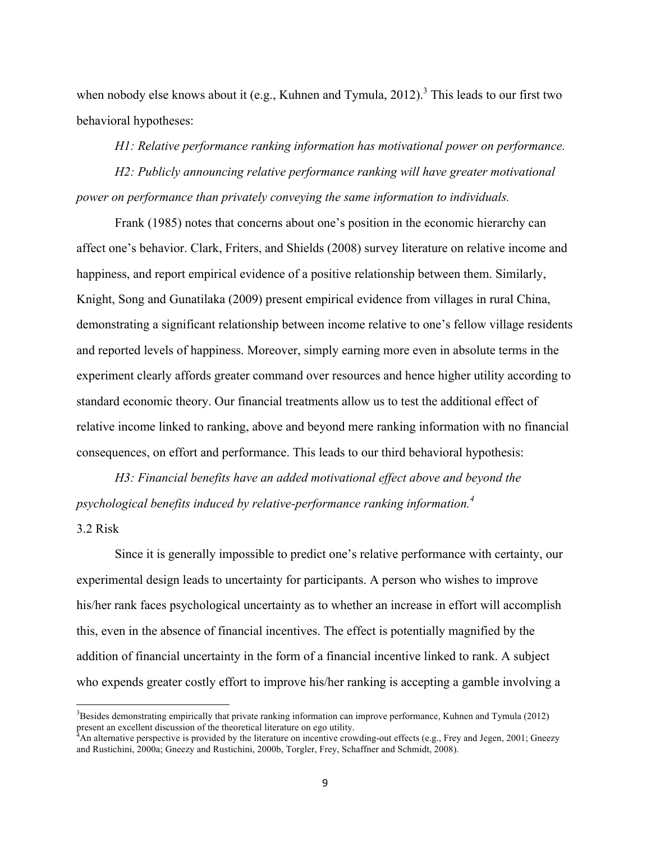when nobody else knows about it (e.g., Kuhnen and Tymula, 2012).<sup>3</sup> This leads to our first two behavioral hypotheses:

*H1: Relative performance ranking information has motivational power on performance.*

*H2: Publicly announcing relative performance ranking will have greater motivational power on performance than privately conveying the same information to individuals.*

Frank (1985) notes that concerns about one's position in the economic hierarchy can affect one's behavior. Clark, Friters, and Shields (2008) survey literature on relative income and happiness, and report empirical evidence of a positive relationship between them. Similarly, Knight, Song and Gunatilaka (2009) present empirical evidence from villages in rural China, demonstrating a significant relationship between income relative to one's fellow village residents and reported levels of happiness. Moreover, simply earning more even in absolute terms in the experiment clearly affords greater command over resources and hence higher utility according to standard economic theory. Our financial treatments allow us to test the additional effect of relative income linked to ranking, above and beyond mere ranking information with no financial consequences, on effort and performance. This leads to our third behavioral hypothesis:

*H3: Financial benefits have an added motivational effect above and beyond the psychological benefits induced by relative-performance ranking information.<sup>4</sup>*

#### 3.2 Risk

<u> 1989 - Johann Stein, fransk politik (d. 1989)</u>

Since it is generally impossible to predict one's relative performance with certainty, our experimental design leads to uncertainty for participants. A person who wishes to improve his/her rank faces psychological uncertainty as to whether an increase in effort will accomplish this, even in the absence of financial incentives. The effect is potentially magnified by the addition of financial uncertainty in the form of a financial incentive linked to rank. A subject who expends greater costly effort to improve his/her ranking is accepting a gamble involving a

<sup>&</sup>lt;sup>3</sup>Besides demonstrating empirically that private ranking information can improve performance, Kuhnen and Tymula (2012) present an excellent discussion of the theoretical literature on ego utility.<br><sup>4</sup>An alternative perspective is provided by the literature on incentive crowding-out effects (e.g., Frey and Jegen, 2001; Gneezy

and Rustichini, 2000a; Gneezy and Rustichini, 2000b, Torgler, Frey, Schaffner and Schmidt, 2008).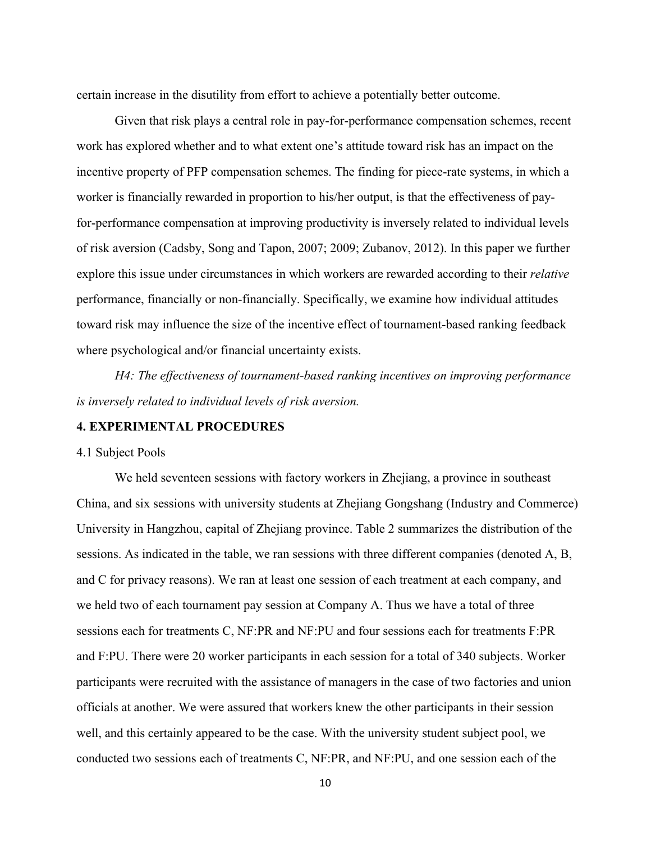certain increase in the disutility from effort to achieve a potentially better outcome.

Given that risk plays a central role in pay-for-performance compensation schemes, recent work has explored whether and to what extent one's attitude toward risk has an impact on the incentive property of PFP compensation schemes. The finding for piece-rate systems, in which a worker is financially rewarded in proportion to his/her output, is that the effectiveness of payfor-performance compensation at improving productivity is inversely related to individual levels of risk aversion (Cadsby, Song and Tapon, 2007; 2009; Zubanov, 2012). In this paper we further explore this issue under circumstances in which workers are rewarded according to their *relative* performance, financially or non-financially. Specifically, we examine how individual attitudes toward risk may influence the size of the incentive effect of tournament-based ranking feedback where psychological and/or financial uncertainty exists.

*H4: The effectiveness of tournament-based ranking incentives on improving performance is inversely related to individual levels of risk aversion.*

#### **4. EXPERIMENTAL PROCEDURES**

#### 4.1 Subject Pools

We held seventeen sessions with factory workers in Zhejiang, a province in southeast China, and six sessions with university students at Zhejiang Gongshang (Industry and Commerce) University in Hangzhou, capital of Zhejiang province. Table 2 summarizes the distribution of the sessions. As indicated in the table, we ran sessions with three different companies (denoted A, B, and C for privacy reasons). We ran at least one session of each treatment at each company, and we held two of each tournament pay session at Company A. Thus we have a total of three sessions each for treatments C, NF:PR and NF:PU and four sessions each for treatments F:PR and F:PU. There were 20 worker participants in each session for a total of 340 subjects. Worker participants were recruited with the assistance of managers in the case of two factories and union officials at another. We were assured that workers knew the other participants in their session well, and this certainly appeared to be the case. With the university student subject pool, we conducted two sessions each of treatments C, NF:PR, and NF:PU, and one session each of the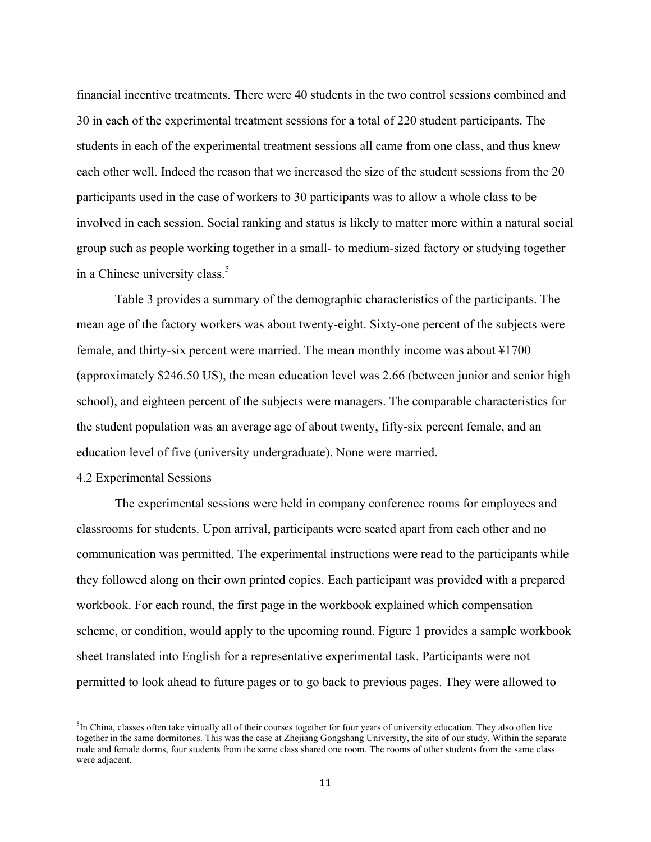financial incentive treatments. There were 40 students in the two control sessions combined and 30 in each of the experimental treatment sessions for a total of 220 student participants. The students in each of the experimental treatment sessions all came from one class, and thus knew each other well. Indeed the reason that we increased the size of the student sessions from the 20 participants used in the case of workers to 30 participants was to allow a whole class to be involved in each session. Social ranking and status is likely to matter more within a natural social group such as people working together in a small- to medium-sized factory or studying together in a Chinese university class.<sup>5</sup>

Table 3 provides a summary of the demographic characteristics of the participants. The mean age of the factory workers was about twenty-eight. Sixty-one percent of the subjects were female, and thirty-six percent were married. The mean monthly income was about ¥1700 (approximately \$246.50 US), the mean education level was 2.66 (between junior and senior high school), and eighteen percent of the subjects were managers. The comparable characteristics for the student population was an average age of about twenty, fifty-six percent female, and an education level of five (university undergraduate). None were married.

#### 4.2 Experimental Sessions

 

The experimental sessions were held in company conference rooms for employees and classrooms for students. Upon arrival, participants were seated apart from each other and no communication was permitted. The experimental instructions were read to the participants while they followed along on their own printed copies. Each participant was provided with a prepared workbook. For each round, the first page in the workbook explained which compensation scheme, or condition, would apply to the upcoming round. Figure 1 provides a sample workbook sheet translated into English for a representative experimental task. Participants were not permitted to look ahead to future pages or to go back to previous pages. They were allowed to

<sup>&</sup>lt;sup>5</sup>In China, classes often take virtually all of their courses together for four years of university education. They also often live together in the same dormitories. This was the case at Zhejiang Gongshang University, the site of our study. Within the separate male and female dorms, four students from the same class shared one room. The rooms of other students from the same class were adjacent.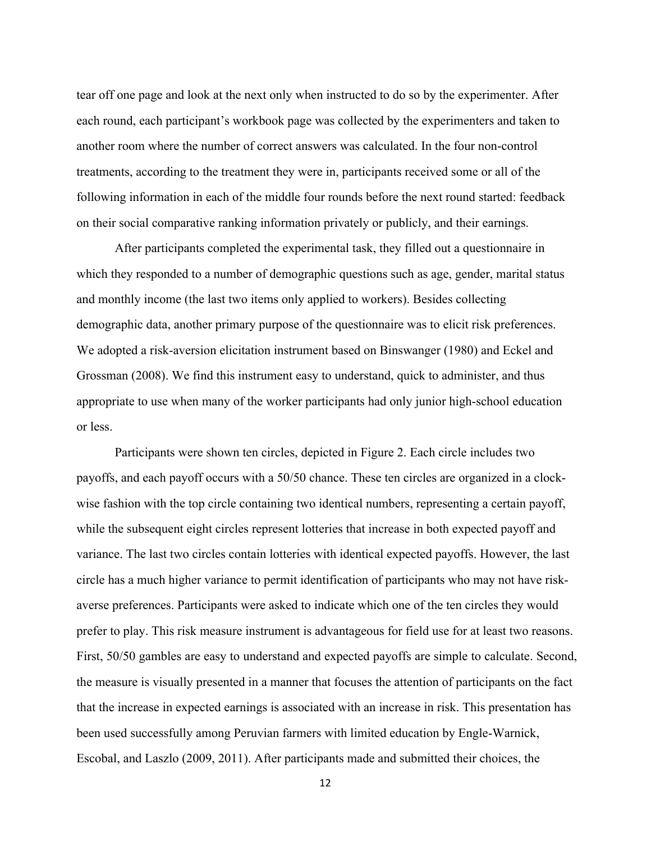tear off one page and look at the next only when instructed to do so by the experimenter. After each round, each participant's workbook page was collected by the experimenters and taken to another room where the number of correct answers was calculated. In the four non-control treatments, according to the treatment they were in, participants received some or all of the following information in each of the middle four rounds before the next round started: feedback on their social comparative ranking information privately or publicly, and their earnings.

After participants completed the experimental task, they filled out a questionnaire in which they responded to a number of demographic questions such as age, gender, marital status and monthly income (the last two items only applied to workers). Besides collecting demographic data, another primary purpose of the questionnaire was to elicit risk preferences. We adopted a risk-aversion elicitation instrument based on Binswanger (1980) and Eckel and Grossman (2008). We find this instrument easy to understand, quick to administer, and thus appropriate to use when many of the worker participants had only junior high-school education or less.

Participants were shown ten circles, depicted in Figure 2. Each circle includes two payoffs, and each payoff occurs with a 50/50 chance. These ten circles are organized in a clockwise fashion with the top circle containing two identical numbers, representing a certain payoff, while the subsequent eight circles represent lotteries that increase in both expected payoff and variance. The last two circles contain lotteries with identical expected payoffs. However, the last circle has a much higher variance to permit identification of participants who may not have riskaverse preferences. Participants were asked to indicate which one of the ten circles they would prefer to play. This risk measure instrument is advantageous for field use for at least two reasons. First, 50/50 gambles are easy to understand and expected payoffs are simple to calculate. Second, the measure is visually presented in a manner that focuses the attention of participants on the fact that the increase in expected earnings is associated with an increase in risk. This presentation has been used successfully among Peruvian farmers with limited education by Engle-Warnick, Escobal, and Laszlo (2009, 2011). After participants made and submitted their choices, the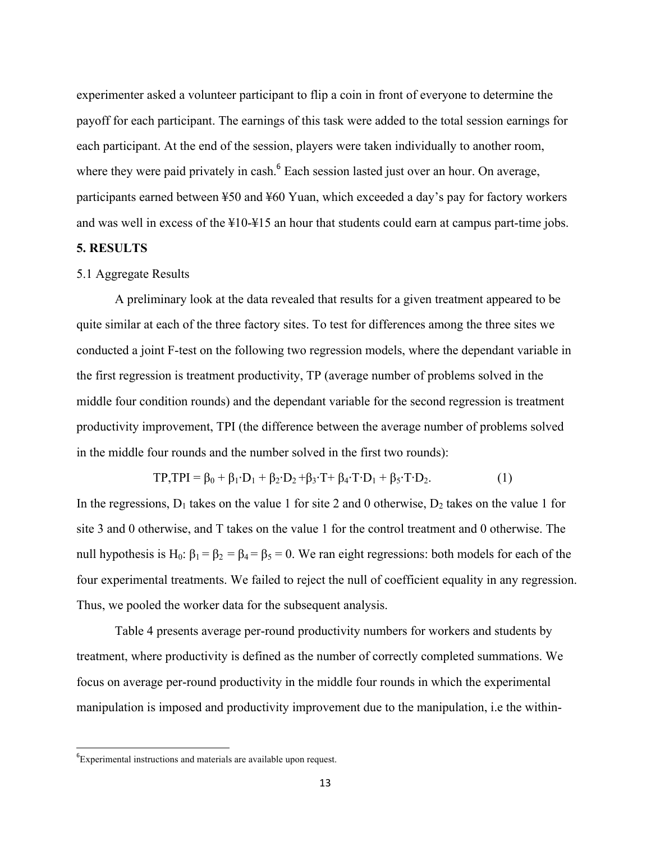experimenter asked a volunteer participant to flip a coin in front of everyone to determine the payoff for each participant. The earnings of this task were added to the total session earnings for each participant. At the end of the session, players were taken individually to another room, where they were paid privately in cash.<sup>6</sup> Each session lasted just over an hour. On average, participants earned between ¥50 and ¥60 Yuan, which exceeded a day's pay for factory workers and was well in excess of the ¥10-¥15 an hour that students could earn at campus part-time jobs.

#### **5. RESULTS**

#### 5.1 Aggregate Results

A preliminary look at the data revealed that results for a given treatment appeared to be quite similar at each of the three factory sites. To test for differences among the three sites we conducted a joint F-test on the following two regression models, where the dependant variable in the first regression is treatment productivity, TP (average number of problems solved in the middle four condition rounds) and the dependant variable for the second regression is treatment productivity improvement, TPI (the difference between the average number of problems solved in the middle four rounds and the number solved in the first two rounds):

$$
TP, TPI = \beta_0 + \beta_1 \cdot D_1 + \beta_2 \cdot D_2 + \beta_3 \cdot T + \beta_4 \cdot T \cdot D_1 + \beta_5 \cdot T \cdot D_2.
$$
 (1)

In the regressions,  $D_1$  takes on the value 1 for site 2 and 0 otherwise,  $D_2$  takes on the value 1 for site 3 and 0 otherwise, and T takes on the value 1 for the control treatment and 0 otherwise. The null hypothesis is H<sub>0</sub>: β<sub>1</sub> = β<sub>2</sub> = β<sub>4</sub> = β<sub>5</sub> = 0. We ran eight regressions: both models for each of the four experimental treatments. We failed to reject the null of coefficient equality in any regression. Thus, we pooled the worker data for the subsequent analysis.

Table 4 presents average per-round productivity numbers for workers and students by treatment, where productivity is defined as the number of correctly completed summations. We focus on average per-round productivity in the middle four rounds in which the experimental manipulation is imposed and productivity improvement due to the manipulation, i.e the within-

 <sup>6</sup> Experimental instructions and materials are available upon request.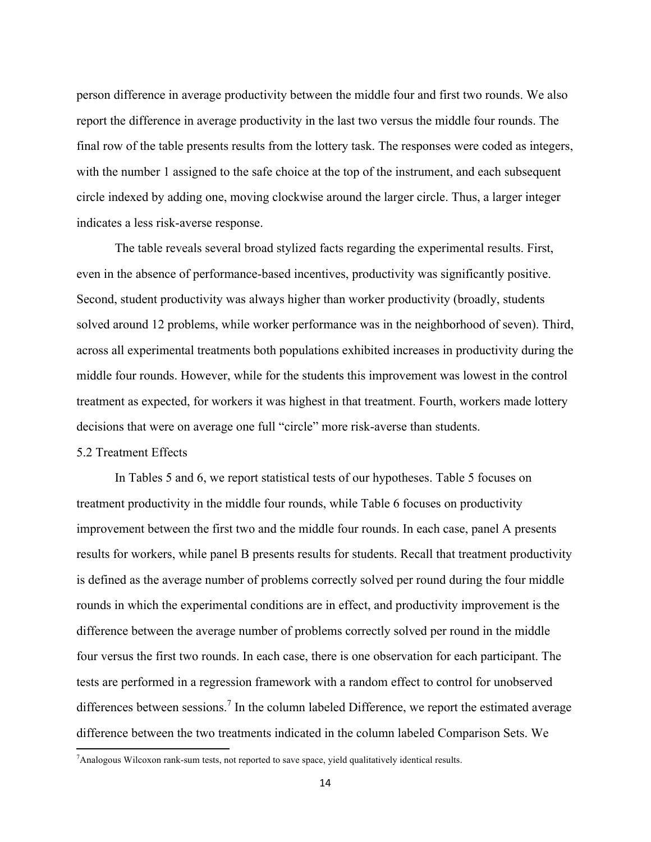person difference in average productivity between the middle four and first two rounds. We also report the difference in average productivity in the last two versus the middle four rounds. The final row of the table presents results from the lottery task. The responses were coded as integers, with the number 1 assigned to the safe choice at the top of the instrument, and each subsequent circle indexed by adding one, moving clockwise around the larger circle. Thus, a larger integer indicates a less risk-averse response.

The table reveals several broad stylized facts regarding the experimental results. First, even in the absence of performance-based incentives, productivity was significantly positive. Second, student productivity was always higher than worker productivity (broadly, students solved around 12 problems, while worker performance was in the neighborhood of seven). Third, across all experimental treatments both populations exhibited increases in productivity during the middle four rounds. However, while for the students this improvement was lowest in the control treatment as expected, for workers it was highest in that treatment. Fourth, workers made lottery decisions that were on average one full "circle" more risk-averse than students.

#### 5.2 Treatment Effects

<u> 1989 - Johann Stein, fransk politik (d. 1989)</u>

In Tables 5 and 6, we report statistical tests of our hypotheses. Table 5 focuses on treatment productivity in the middle four rounds, while Table 6 focuses on productivity improvement between the first two and the middle four rounds. In each case, panel A presents results for workers, while panel B presents results for students. Recall that treatment productivity is defined as the average number of problems correctly solved per round during the four middle rounds in which the experimental conditions are in effect, and productivity improvement is the difference between the average number of problems correctly solved per round in the middle four versus the first two rounds. In each case, there is one observation for each participant. The tests are performed in a regression framework with a random effect to control for unobserved differences between sessions.<sup>7</sup> In the column labeled Difference, we report the estimated average difference between the two treatments indicated in the column labeled Comparison Sets. We

<sup>&</sup>lt;sup>7</sup> Analogous Wilcoxon rank-sum tests, not reported to save space, yield qualitatively identical results.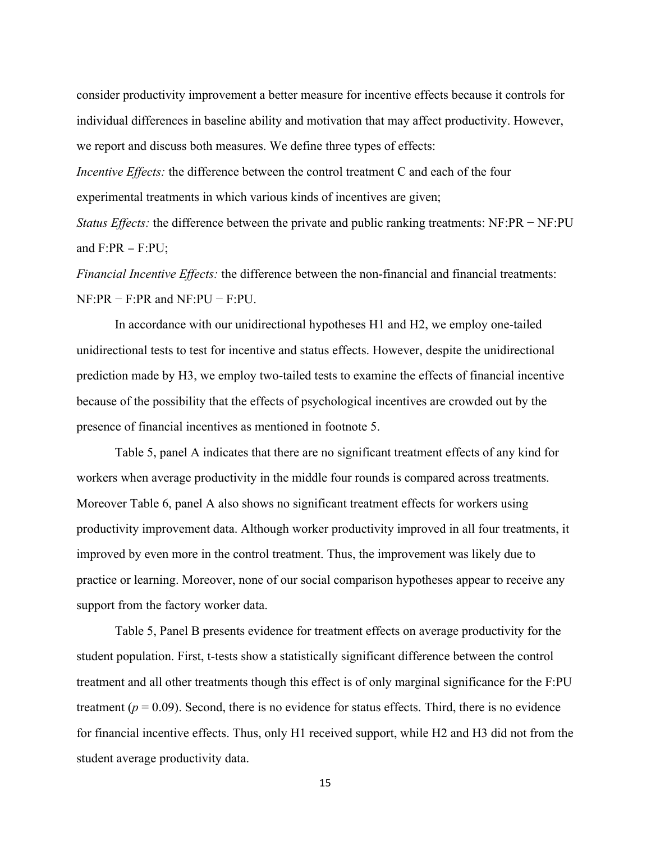consider productivity improvement a better measure for incentive effects because it controls for individual differences in baseline ability and motivation that may affect productivity. However, we report and discuss both measures. We define three types of effects:

*Incentive Effects:* the difference between the control treatment C and each of the four experimental treatments in which various kinds of incentives are given;

*Status Effects:* the difference between the private and public ranking treatments: NF:PR − NF:PU and  $F:PR - F:PU$ ;

*Financial Incentive Effects:* the difference between the non-financial and financial treatments: NF:PR − F:PR and NF:PU − F:PU.

In accordance with our unidirectional hypotheses H1 and H2, we employ one-tailed unidirectional tests to test for incentive and status effects. However, despite the unidirectional prediction made by H3, we employ two-tailed tests to examine the effects of financial incentive because of the possibility that the effects of psychological incentives are crowded out by the presence of financial incentives as mentioned in footnote 5.

Table 5, panel A indicates that there are no significant treatment effects of any kind for workers when average productivity in the middle four rounds is compared across treatments. Moreover Table 6, panel A also shows no significant treatment effects for workers using productivity improvement data. Although worker productivity improved in all four treatments, it improved by even more in the control treatment. Thus, the improvement was likely due to practice or learning. Moreover, none of our social comparison hypotheses appear to receive any support from the factory worker data.

Table 5, Panel B presents evidence for treatment effects on average productivity for the student population. First, t-tests show a statistically significant difference between the control treatment and all other treatments though this effect is of only marginal significance for the F:PU treatment  $(p = 0.09)$ . Second, there is no evidence for status effects. Third, there is no evidence for financial incentive effects. Thus, only H1 received support, while H2 and H3 did not from the student average productivity data.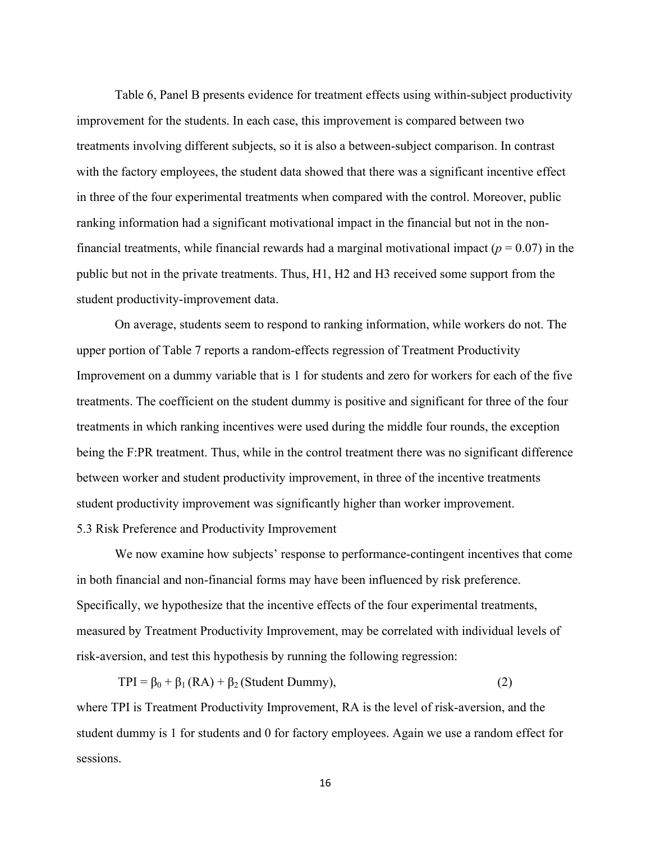Table 6, Panel B presents evidence for treatment effects using within-subject productivity improvement for the students. In each case, this improvement is compared between two treatments involving different subjects, so it is also a between-subject comparison. In contrast with the factory employees, the student data showed that there was a significant incentive effect in three of the four experimental treatments when compared with the control. Moreover, public ranking information had a significant motivational impact in the financial but not in the nonfinancial treatments, while financial rewards had a marginal motivational impact  $(p = 0.07)$  in the public but not in the private treatments. Thus, H1, H2 and H3 received some support from the student productivity-improvement data.

On average, students seem to respond to ranking information, while workers do not. The upper portion of Table 7 reports a random-effects regression of Treatment Productivity Improvement on a dummy variable that is 1 for students and zero for workers for each of the five treatments. The coefficient on the student dummy is positive and significant for three of the four treatments in which ranking incentives were used during the middle four rounds, the exception being the F:PR treatment. Thus, while in the control treatment there was no significant difference between worker and student productivity improvement, in three of the incentive treatments student productivity improvement was significantly higher than worker improvement. 5.3 Risk Preference and Productivity Improvement

We now examine how subjects' response to performance-contingent incentives that come in both financial and non-financial forms may have been influenced by risk preference. Specifically, we hypothesize that the incentive effects of the four experimental treatments, measured by Treatment Productivity Improvement, may be correlated with individual levels of risk-aversion, and test this hypothesis by running the following regression:

 $TPI = \beta_0 + \beta_1 (RA) + \beta_2 (Student Dummy),$  (2)

where TPI is Treatment Productivity Improvement, RA is the level of risk-aversion, and the student dummy is 1 for students and 0 for factory employees. Again we use a random effect for sessions.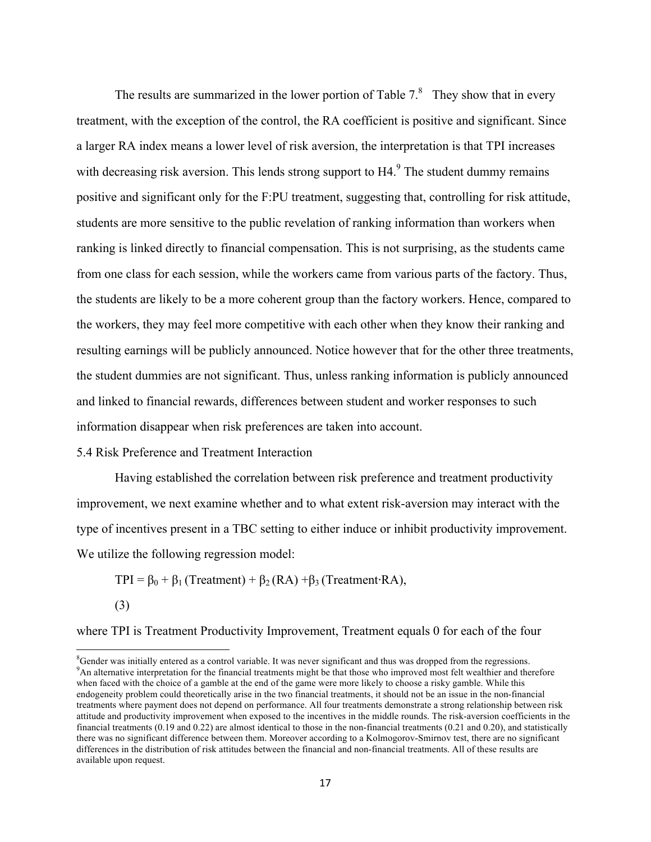The results are summarized in the lower portion of Table  $7<sup>8</sup>$  They show that in every treatment, with the exception of the control, the RA coefficient is positive and significant. Since a larger RA index means a lower level of risk aversion, the interpretation is that TPI increases with decreasing risk aversion. This lends strong support to  $H4<sup>9</sup>$  The student dummy remains positive and significant only for the F:PU treatment, suggesting that, controlling for risk attitude, students are more sensitive to the public revelation of ranking information than workers when ranking is linked directly to financial compensation. This is not surprising, as the students came from one class for each session, while the workers came from various parts of the factory. Thus, the students are likely to be a more coherent group than the factory workers. Hence, compared to the workers, they may feel more competitive with each other when they know their ranking and resulting earnings will be publicly announced. Notice however that for the other three treatments, the student dummies are not significant. Thus, unless ranking information is publicly announced and linked to financial rewards, differences between student and worker responses to such information disappear when risk preferences are taken into account.

#### 5.4 Risk Preference and Treatment Interaction

<u> 1989 - Johann Stein, fransk politik (d. 1989)</u>

Having established the correlation between risk preference and treatment productivity improvement, we next examine whether and to what extent risk-aversion may interact with the type of incentives present in a TBC setting to either induce or inhibit productivity improvement. We utilize the following regression model:

TPI =  $\beta_0 + \beta_1$  (Treatment) +  $\beta_2$  (RA) + $\beta_3$  (Treatment⋅RA), (3)

where TPI is Treatment Productivity Improvement, Treatment equals 0 for each of the four

 ${}^{8}$ Gender was initially entered as a control variable. It was never significant and thus was dropped from the regressions.<br><sup>9</sup>An elternative interpretation for the financial treatments might be that these who improved <sup>9</sup>An alternative interpretation for the financial treatments might be that those who improved most felt wealthier and therefore when faced with the choice of a gamble at the end of the game were more likely to choose a risky gamble. While this endogeneity problem could theoretically arise in the two financial treatments, it should not be an issue in the non-financial treatments where payment does not depend on performance. All four treatments demonstrate a strong relationship between risk attitude and productivity improvement when exposed to the incentives in the middle rounds. The risk-aversion coefficients in the financial treatments (0.19 and 0.22) are almost identical to those in the non-financial treatments (0.21 and 0.20), and statistically there was no significant difference between them. Moreover according to a Kolmogorov-Smirnov test, there are no significant differences in the distribution of risk attitudes between the financial and non-financial treatments. All of these results are available upon request.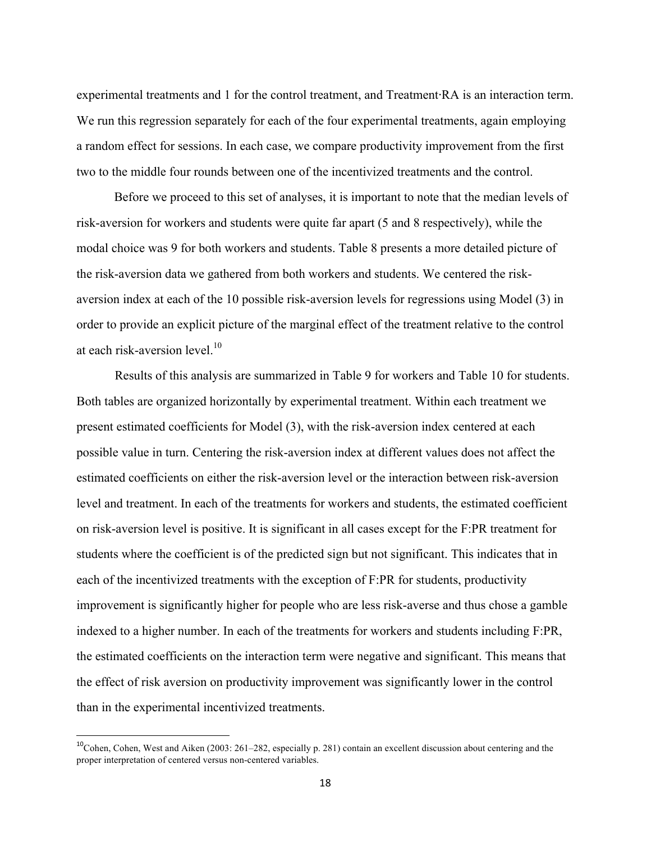experimental treatments and 1 for the control treatment, and Treatment⋅RA is an interaction term. We run this regression separately for each of the four experimental treatments, again employing a random effect for sessions. In each case, we compare productivity improvement from the first two to the middle four rounds between one of the incentivized treatments and the control.

Before we proceed to this set of analyses, it is important to note that the median levels of risk-aversion for workers and students were quite far apart (5 and 8 respectively), while the modal choice was 9 for both workers and students. Table 8 presents a more detailed picture of the risk-aversion data we gathered from both workers and students. We centered the riskaversion index at each of the 10 possible risk-aversion levels for regressions using Model (3) in order to provide an explicit picture of the marginal effect of the treatment relative to the control at each risk-aversion level.<sup>10</sup>

Results of this analysis are summarized in Table 9 for workers and Table 10 for students. Both tables are organized horizontally by experimental treatment. Within each treatment we present estimated coefficients for Model (3), with the risk-aversion index centered at each possible value in turn. Centering the risk-aversion index at different values does not affect the estimated coefficients on either the risk-aversion level or the interaction between risk-aversion level and treatment. In each of the treatments for workers and students, the estimated coefficient on risk-aversion level is positive. It is significant in all cases except for the F:PR treatment for students where the coefficient is of the predicted sign but not significant. This indicates that in each of the incentivized treatments with the exception of F:PR for students, productivity improvement is significantly higher for people who are less risk-averse and thus chose a gamble indexed to a higher number. In each of the treatments for workers and students including F:PR, the estimated coefficients on the interaction term were negative and significant. This means that the effect of risk aversion on productivity improvement was significantly lower in the control than in the experimental incentivized treatments.

 $^{10}$ Cohen, Cohen, West and Aiken (2003: 261–282, especially p. 281) contain an excellent discussion about centering and the proper interpretation of centered versus non-centered variables.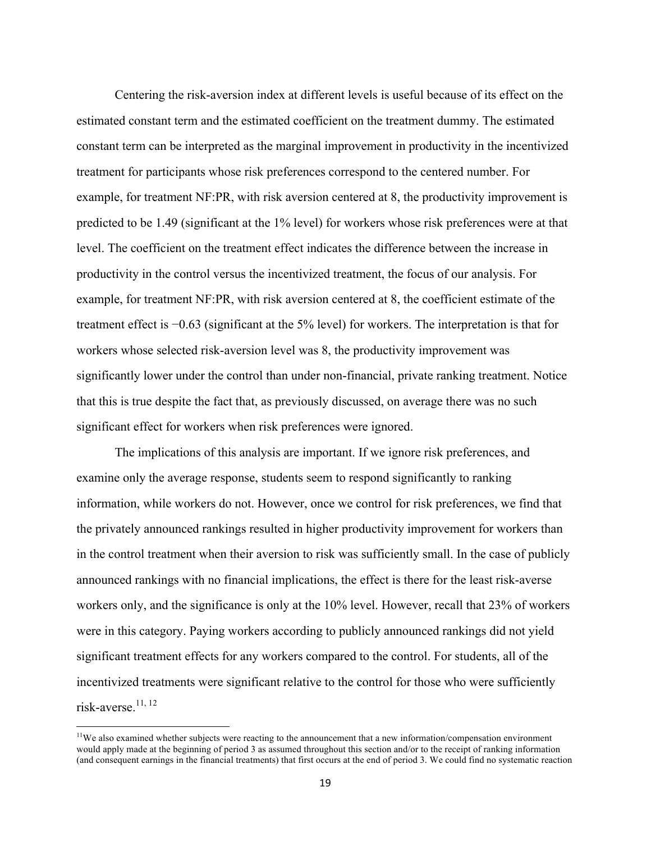Centering the risk-aversion index at different levels is useful because of its effect on the estimated constant term and the estimated coefficient on the treatment dummy. The estimated constant term can be interpreted as the marginal improvement in productivity in the incentivized treatment for participants whose risk preferences correspond to the centered number. For example, for treatment NF:PR, with risk aversion centered at 8, the productivity improvement is predicted to be 1.49 (significant at the 1% level) for workers whose risk preferences were at that level. The coefficient on the treatment effect indicates the difference between the increase in productivity in the control versus the incentivized treatment, the focus of our analysis. For example, for treatment NF:PR, with risk aversion centered at 8, the coefficient estimate of the treatment effect is −0.63 (significant at the 5% level) for workers. The interpretation is that for workers whose selected risk-aversion level was 8, the productivity improvement was significantly lower under the control than under non-financial, private ranking treatment. Notice that this is true despite the fact that, as previously discussed, on average there was no such significant effect for workers when risk preferences were ignored.

The implications of this analysis are important. If we ignore risk preferences, and examine only the average response, students seem to respond significantly to ranking information, while workers do not. However, once we control for risk preferences, we find that the privately announced rankings resulted in higher productivity improvement for workers than in the control treatment when their aversion to risk was sufficiently small. In the case of publicly announced rankings with no financial implications, the effect is there for the least risk-averse workers only, and the significance is only at the 10% level. However, recall that 23% of workers were in this category. Paying workers according to publicly announced rankings did not yield significant treatment effects for any workers compared to the control. For students, all of the incentivized treatments were significant relative to the control for those who were sufficiently risk-averse.<sup>11, 12</sup>

<u> 1989 - Johann Stein, fransk politik (d. 1989)</u>

 $11$ We also examined whether subjects were reacting to the announcement that a new information/compensation environment would apply made at the beginning of period 3 as assumed throughout this section and/or to the receipt of ranking information (and consequent earnings in the financial treatments) that first occurs at the end of period 3. We could find no systematic reaction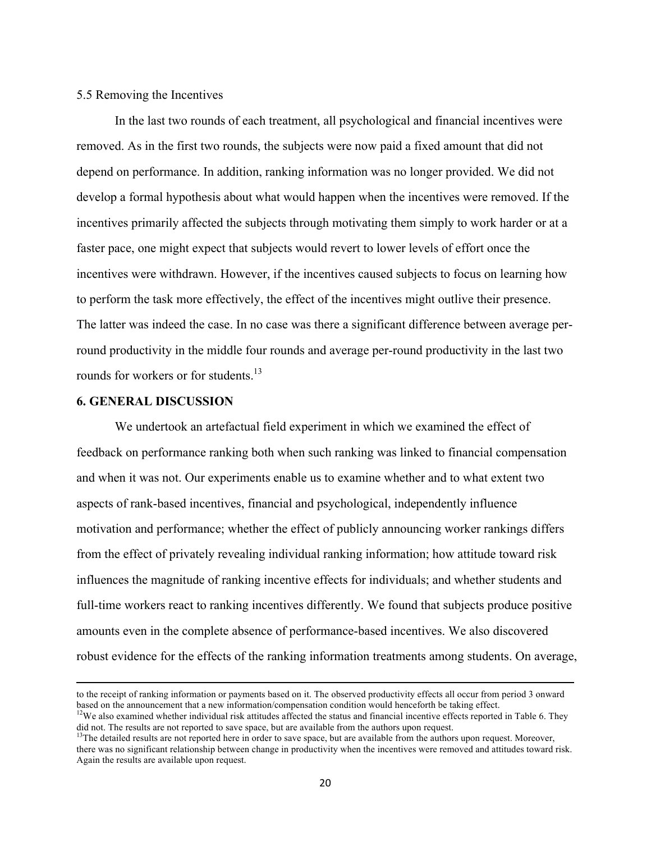#### 5.5 Removing the Incentives

In the last two rounds of each treatment, all psychological and financial incentives were removed. As in the first two rounds, the subjects were now paid a fixed amount that did not depend on performance. In addition, ranking information was no longer provided. We did not develop a formal hypothesis about what would happen when the incentives were removed. If the incentives primarily affected the subjects through motivating them simply to work harder or at a faster pace, one might expect that subjects would revert to lower levels of effort once the incentives were withdrawn. However, if the incentives caused subjects to focus on learning how to perform the task more effectively, the effect of the incentives might outlive their presence. The latter was indeed the case. In no case was there a significant difference between average perround productivity in the middle four rounds and average per-round productivity in the last two rounds for workers or for students.<sup>13</sup>

#### **6. GENERAL DISCUSSION**

We undertook an artefactual field experiment in which we examined the effect of feedback on performance ranking both when such ranking was linked to financial compensation and when it was not. Our experiments enable us to examine whether and to what extent two aspects of rank-based incentives, financial and psychological, independently influence motivation and performance; whether the effect of publicly announcing worker rankings differs from the effect of privately revealing individual ranking information; how attitude toward risk influences the magnitude of ranking incentive effects for individuals; and whether students and full-time workers react to ranking incentives differently. We found that subjects produce positive amounts even in the complete absence of performance-based incentives. We also discovered robust evidence for the effects of the ranking information treatments among students. On average,

<u> 1989 - Andrea Santa Andrea Andrea Andrea Andrea Andrea Andrea Andrea Andrea Andrea Andrea Andrea Andrea Andr</u>

to the receipt of ranking information or payments based on it. The observed productivity effects all occur from period 3 onward based on the announcement that a new information/compensation condition would henceforth be taking effect.<br><sup>12</sup>We also examined whether individual risk attitudes affected the status and financial incentive effects reported

did not. The results are not reported to save space, but are available from the authors upon request.<br><sup>13</sup>The detailed results are not reported here in order to save space, but are available from the authors upon request.

there was no significant relationship between change in productivity when the incentives were removed and attitudes toward risk. Again the results are available upon request.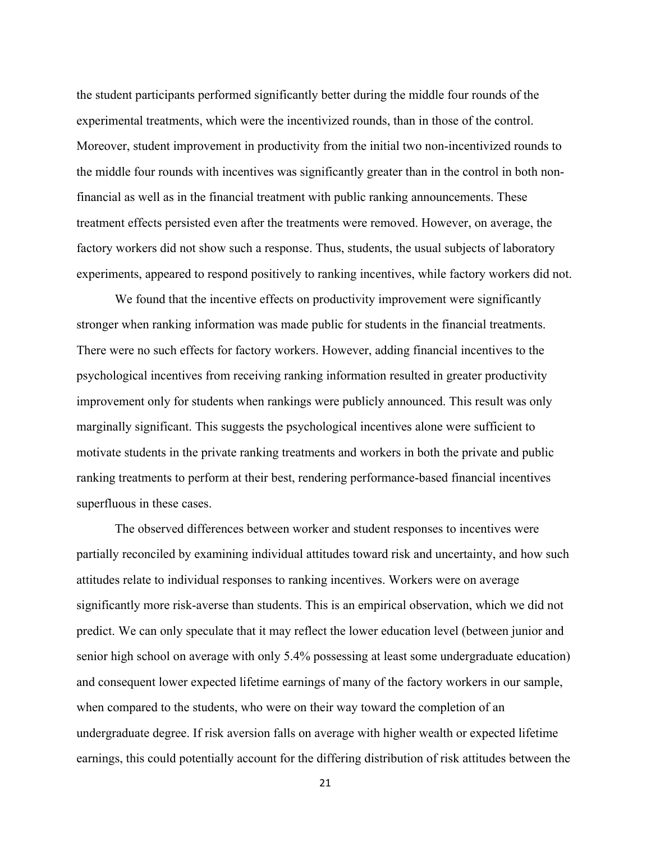the student participants performed significantly better during the middle four rounds of the experimental treatments, which were the incentivized rounds, than in those of the control. Moreover, student improvement in productivity from the initial two non-incentivized rounds to the middle four rounds with incentives was significantly greater than in the control in both nonfinancial as well as in the financial treatment with public ranking announcements. These treatment effects persisted even after the treatments were removed. However, on average, the factory workers did not show such a response. Thus, students, the usual subjects of laboratory experiments, appeared to respond positively to ranking incentives, while factory workers did not.

We found that the incentive effects on productivity improvement were significantly stronger when ranking information was made public for students in the financial treatments. There were no such effects for factory workers. However, adding financial incentives to the psychological incentives from receiving ranking information resulted in greater productivity improvement only for students when rankings were publicly announced. This result was only marginally significant. This suggests the psychological incentives alone were sufficient to motivate students in the private ranking treatments and workers in both the private and public ranking treatments to perform at their best, rendering performance-based financial incentives superfluous in these cases.

The observed differences between worker and student responses to incentives were partially reconciled by examining individual attitudes toward risk and uncertainty, and how such attitudes relate to individual responses to ranking incentives. Workers were on average significantly more risk-averse than students. This is an empirical observation, which we did not predict. We can only speculate that it may reflect the lower education level (between junior and senior high school on average with only 5.4% possessing at least some undergraduate education) and consequent lower expected lifetime earnings of many of the factory workers in our sample, when compared to the students, who were on their way toward the completion of an undergraduate degree. If risk aversion falls on average with higher wealth or expected lifetime earnings, this could potentially account for the differing distribution of risk attitudes between the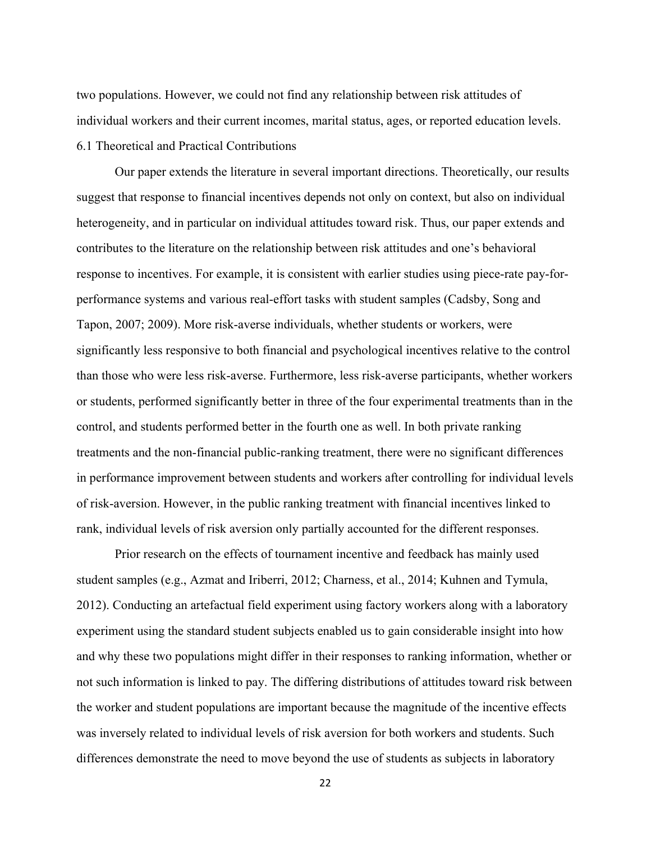two populations. However, we could not find any relationship between risk attitudes of individual workers and their current incomes, marital status, ages, or reported education levels. 6.1 Theoretical and Practical Contributions

Our paper extends the literature in several important directions. Theoretically, our results suggest that response to financial incentives depends not only on context, but also on individual heterogeneity, and in particular on individual attitudes toward risk. Thus, our paper extends and contributes to the literature on the relationship between risk attitudes and one's behavioral response to incentives. For example, it is consistent with earlier studies using piece-rate pay-forperformance systems and various real-effort tasks with student samples (Cadsby, Song and Tapon, 2007; 2009). More risk-averse individuals, whether students or workers, were significantly less responsive to both financial and psychological incentives relative to the control than those who were less risk-averse. Furthermore, less risk-averse participants, whether workers or students, performed significantly better in three of the four experimental treatments than in the control, and students performed better in the fourth one as well. In both private ranking treatments and the non-financial public-ranking treatment, there were no significant differences in performance improvement between students and workers after controlling for individual levels of risk-aversion. However, in the public ranking treatment with financial incentives linked to rank, individual levels of risk aversion only partially accounted for the different responses.

Prior research on the effects of tournament incentive and feedback has mainly used student samples (e.g., Azmat and Iriberri, 2012; Charness, et al., 2014; Kuhnen and Tymula, 2012). Conducting an artefactual field experiment using factory workers along with a laboratory experiment using the standard student subjects enabled us to gain considerable insight into how and why these two populations might differ in their responses to ranking information, whether or not such information is linked to pay. The differing distributions of attitudes toward risk between the worker and student populations are important because the magnitude of the incentive effects was inversely related to individual levels of risk aversion for both workers and students. Such differences demonstrate the need to move beyond the use of students as subjects in laboratory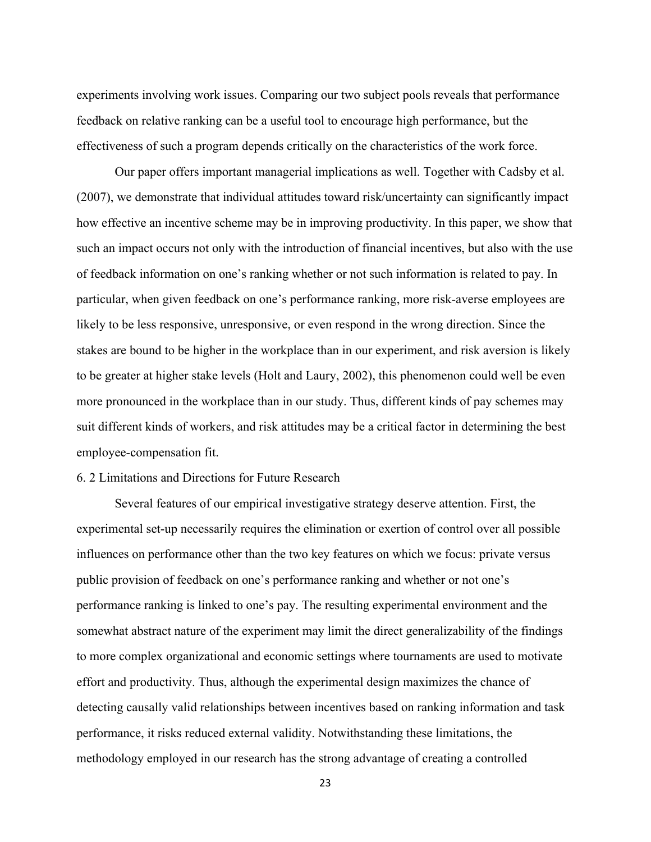experiments involving work issues. Comparing our two subject pools reveals that performance feedback on relative ranking can be a useful tool to encourage high performance, but the effectiveness of such a program depends critically on the characteristics of the work force.

Our paper offers important managerial implications as well. Together with Cadsby et al. (2007), we demonstrate that individual attitudes toward risk/uncertainty can significantly impact how effective an incentive scheme may be in improving productivity. In this paper, we show that such an impact occurs not only with the introduction of financial incentives, but also with the use of feedback information on one's ranking whether or not such information is related to pay. In particular, when given feedback on one's performance ranking, more risk-averse employees are likely to be less responsive, unresponsive, or even respond in the wrong direction. Since the stakes are bound to be higher in the workplace than in our experiment, and risk aversion is likely to be greater at higher stake levels (Holt and Laury, 2002), this phenomenon could well be even more pronounced in the workplace than in our study. Thus, different kinds of pay schemes may suit different kinds of workers, and risk attitudes may be a critical factor in determining the best employee-compensation fit.

#### 6. 2 Limitations and Directions for Future Research

Several features of our empirical investigative strategy deserve attention. First, the experimental set-up necessarily requires the elimination or exertion of control over all possible influences on performance other than the two key features on which we focus: private versus public provision of feedback on one's performance ranking and whether or not one's performance ranking is linked to one's pay. The resulting experimental environment and the somewhat abstract nature of the experiment may limit the direct generalizability of the findings to more complex organizational and economic settings where tournaments are used to motivate effort and productivity. Thus, although the experimental design maximizes the chance of detecting causally valid relationships between incentives based on ranking information and task performance, it risks reduced external validity. Notwithstanding these limitations, the methodology employed in our research has the strong advantage of creating a controlled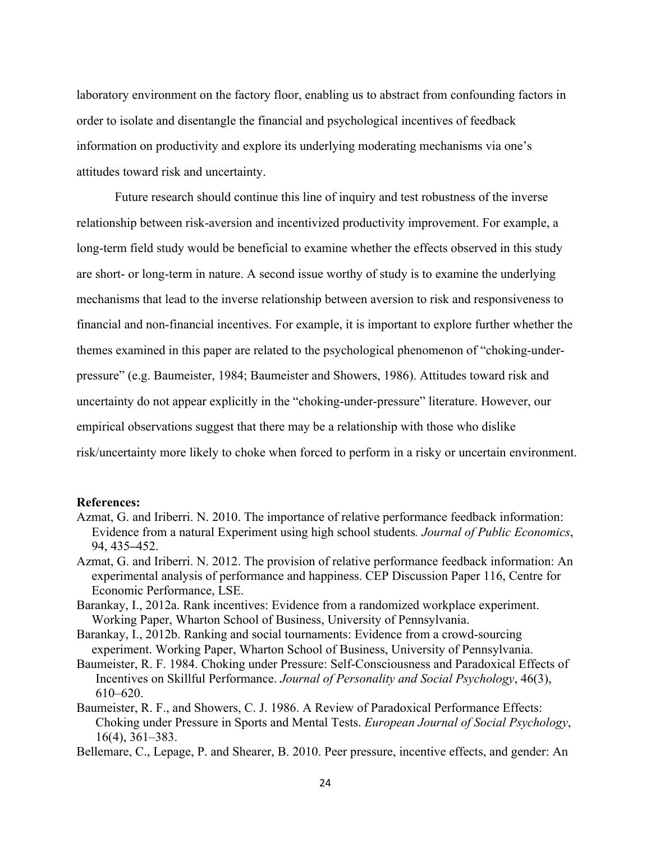laboratory environment on the factory floor, enabling us to abstract from confounding factors in order to isolate and disentangle the financial and psychological incentives of feedback information on productivity and explore its underlying moderating mechanisms via one's attitudes toward risk and uncertainty.

Future research should continue this line of inquiry and test robustness of the inverse relationship between risk-aversion and incentivized productivity improvement. For example, a long-term field study would be beneficial to examine whether the effects observed in this study are short- or long-term in nature. A second issue worthy of study is to examine the underlying mechanisms that lead to the inverse relationship between aversion to risk and responsiveness to financial and non-financial incentives. For example, it is important to explore further whether the themes examined in this paper are related to the psychological phenomenon of "choking-underpressure" (e.g. Baumeister, 1984; Baumeister and Showers, 1986). Attitudes toward risk and uncertainty do not appear explicitly in the "choking-under-pressure" literature. However, our empirical observations suggest that there may be a relationship with those who dislike risk/uncertainty more likely to choke when forced to perform in a risky or uncertain environment.

#### **References:**

- Azmat, G. and Iriberri. N. 2010. The importance of relative performance feedback information: Evidence from a natural Experiment using high school students*. Journal of Public Economics*, 94, 435*–*452.
- Azmat, G. and Iriberri. N. 2012. The provision of relative performance feedback information: An experimental analysis of performance and happiness. CEP Discussion Paper 116, Centre for Economic Performance, LSE.
- Barankay, I., 2012a. Rank incentives: Evidence from a randomized workplace experiment. Working Paper, Wharton School of Business, University of Pennsylvania.
- Barankay, I., 2012b. Ranking and social tournaments: Evidence from a crowd-sourcing experiment. Working Paper, Wharton School of Business, University of Pennsylvania.
- Baumeister, R. F. 1984. Choking under Pressure: Self-Consciousness and Paradoxical Effects of Incentives on Skillful Performance. *Journal of Personality and Social Psychology*, 46(3), 610–620.
- Baumeister, R. F., and Showers, C. J. 1986. A Review of Paradoxical Performance Effects: Choking under Pressure in Sports and Mental Tests. *European Journal of Social Psychology*, 16(4), 361–383.
- Bellemare, C., Lepage, P. and Shearer, B. 2010. Peer pressure, incentive effects, and gender: An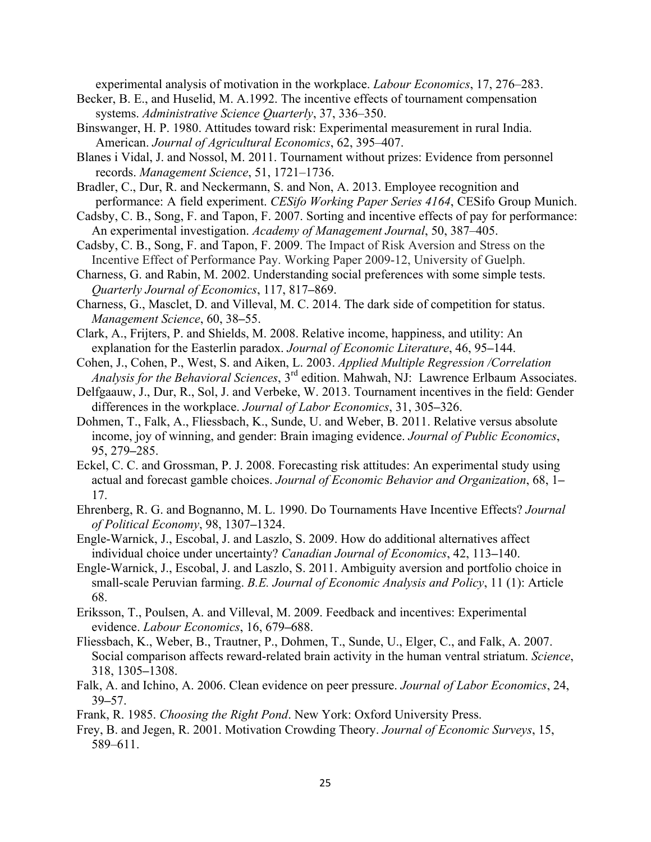experimental analysis of motivation in the workplace. *Labour Economics*, 17, 276–283.

- Becker, B. E., and Huselid, M. A.1992. The incentive effects of tournament compensation systems. *Administrative Science Quarterly*, 37, 336–350.
- Binswanger, H. P. 1980. Attitudes toward risk: Experimental measurement in rural India. American. *Journal of Agricultural Economics*, 62, 395–407.
- Blanes i Vidal, J. and Nossol, M. 2011. Tournament without prizes: Evidence from personnel records. *Management Science*, 51, 1721–1736.
- Bradler, C., Dur, R. and Neckermann, S. and Non, A. 2013. Employee recognition and performance: A field experiment. *CESifo Working Paper Series 4164*, CESifo Group Munich.
- Cadsby, C. B., Song, F. and Tapon, F. 2007. Sorting and incentive effects of pay for performance: An experimental investigation. *Academy of Management Journal*, 50, 387–405.
- Cadsby, C. B., Song, F. and Tapon, F. 2009. The Impact of Risk Aversion and Stress on the Incentive Effect of Performance Pay. Working Paper 2009-12, University of Guelph.
- Charness, G. and Rabin, M. 2002. Understanding social preferences with some simple tests. *Quarterly Journal of Economics*, 117, 817*–*869.
- Charness, G., Masclet, D. and Villeval, M. C. 2014. The dark side of competition for status. *Management Science*, 60, 38*–*55.
- Clark, A., Frijters, P. and Shields, M. 2008. Relative income, happiness, and utility: An explanation for the Easterlin paradox. *Journal of Economic Literature*, 46, 95*–*144.
- Cohen, J., Cohen, P., West, S. and Aiken, L. 2003. *Applied Multiple Regression /Correlation Analysis for the Behavioral Sciences*, 3rd edition. Mahwah, NJ: Lawrence Erlbaum Associates.
- Delfgaauw, J., Dur, R., Sol, J. and Verbeke, W. 2013. Tournament incentives in the field: Gender differences in the workplace. *Journal of Labor Economics*, 31, 305*–*326.
- Dohmen, T., Falk, A., Fliessbach, K., Sunde, U. and Weber, B. 2011. Relative versus absolute income, joy of winning, and gender: Brain imaging evidence. *Journal of Public Economics*, 95, 279*–*285.
- Eckel, C. C. and Grossman, P. J. 2008. Forecasting risk attitudes: An experimental study using actual and forecast gamble choices. *Journal of Economic Behavior and Organization*, 68, 1*–* 17.
- Ehrenberg, R. G. and Bognanno, M. L. 1990. Do Tournaments Have Incentive Effects? *Journal of Political Economy*, 98, 1307*–*1324.
- Engle-Warnick, J., Escobal, J. and Laszlo, S. 2009. How do additional alternatives affect individual choice under uncertainty? *Canadian Journal of Economics*, 42, 113*–*140.
- Engle-Warnick, J., Escobal, J. and Laszlo, S. 2011. Ambiguity aversion and portfolio choice in small-scale Peruvian farming. *B.E. Journal of Economic Analysis and Policy*, 11 (1): Article 68.
- Eriksson, T., Poulsen, A. and Villeval, M. 2009. Feedback and incentives: Experimental evidence. *Labour Economics*, 16, 679*–*688.
- Fliessbach, K., Weber, B., Trautner, P., Dohmen, T., Sunde, U., Elger, C., and Falk, A. 2007. Social comparison affects reward-related brain activity in the human ventral striatum. *Science*, 318, 1305*–*1308.
- Falk, A. and Ichino, A. 2006. Clean evidence on peer pressure. *Journal of Labor Economics*, 24, 39*–*57.

Frank, R. 1985. *Choosing the Right Pond*. New York: Oxford University Press.

Frey, B. and Jegen, R. 2001. Motivation Crowding Theory. *Journal of Economic Surveys*, 15, 589–611.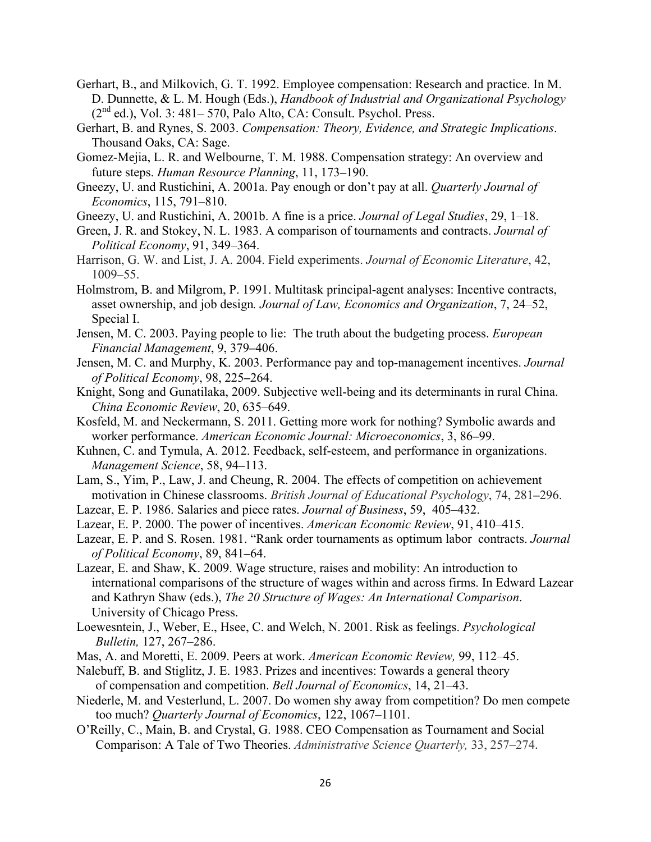- Gerhart, B., and Milkovich, G. T. 1992. Employee compensation: Research and practice. In M. D. Dunnette, & L. M. Hough (Eds.), *Handbook of Industrial and Organizational Psychology*  $(2<sup>nd</sup>$  ed.), Vol. 3: 481–570, Palo Alto, CA: Consult. Psychol. Press.
- Gerhart, B. and Rynes, S. 2003. *Compensation: Theory, Evidence, and Strategic Implications*. Thousand Oaks, CA: Sage.
- Gomez-Mejia, L. R. and Welbourne, T. M. 1988. Compensation strategy: An overview and future steps. *Human Resource Planning*, 11, 173*–*190.
- Gneezy, U. and Rustichini, A. 2001a. Pay enough or don't pay at all. *Quarterly Journal of Economics*, 115, 791–810.
- Gneezy, U. and Rustichini, A. 2001b. A fine is a price. *Journal of Legal Studies*, 29, 1–18.
- Green, J. R. and Stokey, N. L. 1983. A comparison of tournaments and contracts. *Journal of Political Economy*, 91, 349–364.
- Harrison, G. W. and List, J. A. 2004. Field experiments. *Journal of Economic Literature*, 42, 1009–55.
- Holmstrom, B. and Milgrom, P. 1991. Multitask principal-agent analyses: Incentive contracts, asset ownership, and job design*. Journal of Law, Economics and Organization*, 7, 24–52, Special I.
- Jensen, M. C. 2003. Paying people to lie: The truth about the budgeting process. *European Financial Management*, 9, 379*–*406.
- Jensen, M. C. and Murphy, K. 2003. Performance pay and top-management incentives. *Journal of Political Economy*, 98, 225*–*264.
- Knight, Song and Gunatilaka, 2009. Subjective well-being and its determinants in rural China. *China Economic Review*, 20, 635–649.
- Kosfeld, M. and Neckermann, S. 2011. Getting more work for nothing? Symbolic awards and worker performance. *American Economic Journal: Microeconomics*, 3, 86*–*99.
- Kuhnen, C. and Tymula, A. 2012. Feedback, self-esteem, and performance in organizations. *Management Science*, 58, 94*–*113.
- Lam, S., Yim, P., Law, J. and Cheung, R. 2004. The effects of competition on achievement motivation in Chinese classrooms. *British Journal of Educational Psychology*, 74, 281*–*296.
- Lazear, E. P. 1986. Salaries and piece rates. *Journal of Business*, 59, 405–432.
- Lazear, E. P. 2000. The power of incentives. *American Economic Review*, 91, 410–415.
- Lazear, E. P. and S. Rosen. 1981. "Rank order tournaments as optimum labor contracts. *Journal of Political Economy*, 89, 841*–*64.
- Lazear, E. and Shaw, K. 2009. Wage structure, raises and mobility: An introduction to international comparisons of the structure of wages within and across firms. In Edward Lazear and Kathryn Shaw (eds.), *The 20 Structure of Wages: An International Comparison*. University of Chicago Press.
- Loewesntein, J., Weber, E., Hsee, C. and Welch, N. 2001. Risk as feelings. *Psychological Bulletin,* 127, 267–286.
- Mas, A. and Moretti, E. 2009. Peers at work. *American Economic Review,* 99, 112–45.
- Nalebuff, B. and Stiglitz, J. E. 1983. Prizes and incentives: Towards a general theory of compensation and competition. *Bell Journal of Economics*, 14, 21–43.
- Niederle, M. and Vesterlund, L. 2007. Do women shy away from competition? Do men compete too much? *Quarterly Journal of Economics*, 122, 1067–1101.
- O'Reilly, C., Main, B. and Crystal, G. 1988. CEO Compensation as Tournament and Social Comparison: A Tale of Two Theories. *Administrative Science Quarterly,* 33, 257–274.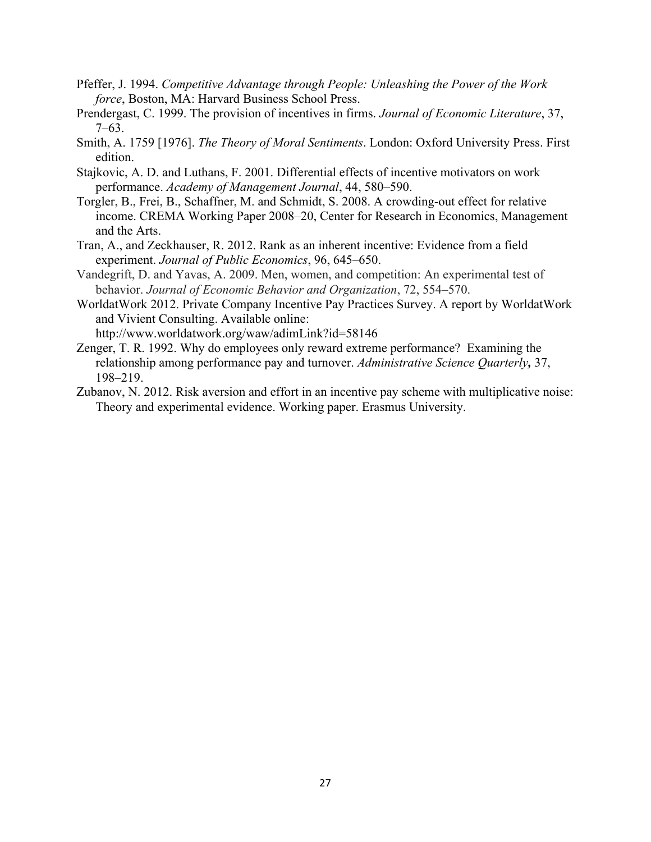- Pfeffer, J. 1994. *Competitive Advantage through People: Unleashing the Power of the Work force*, Boston, MA: Harvard Business School Press.
- Prendergast, C. 1999. The provision of incentives in firms. *Journal of Economic Literature*, 37, 7–63.
- Smith, A. 1759 [1976]. *The Theory of Moral Sentiments*. London: Oxford University Press. First edition.
- Stajkovic, A. D. and Luthans, F. 2001. Differential effects of incentive motivators on work performance. *Academy of Management Journal*, 44, 580–590.
- Torgler, B., Frei, B., Schaffner, M. and Schmidt, S. 2008. A crowding-out effect for relative income. CREMA Working Paper 2008–20, Center for Research in Economics, Management and the Arts.
- Tran, A., and Zeckhauser, R. 2012. Rank as an inherent incentive: Evidence from a field experiment. *Journal of Public Economics*, 96, 645–650.
- Vandegrift, D. and Yavas, A. 2009. Men, women, and competition: An experimental test of behavior. *Journal of Economic Behavior and Organization*, 72, 554–570.
- WorldatWork 2012. Private Company Incentive Pay Practices Survey. A report by WorldatWork and Vivient Consulting. Available online: http://www.worldatwork.org/waw/adimLink?id=58146
- Zenger, T. R. 1992. Why do employees only reward extreme performance? Examining the relationship among performance pay and turnover. *Administrative Science Quarterly,* 37, 198–219.
- Zubanov, N. 2012. Risk aversion and effort in an incentive pay scheme with multiplicative noise: Theory and experimental evidence. Working paper. Erasmus University.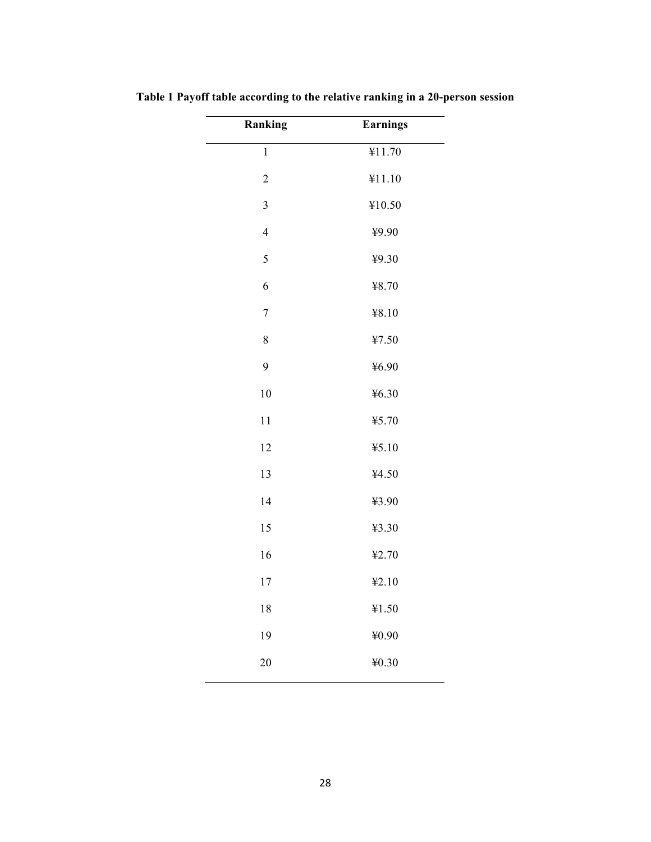| Ranking        | <b>Earnings</b> |
|----------------|-----------------|
| $\mathbf 1$    | ¥11.70          |
| $\overline{c}$ | ¥11.10          |
| $\overline{3}$ | ¥10.50          |
| $\overline{4}$ | ¥9.90           |
| 5              | ¥9.30           |
| 6              | ¥8.70           |
| $\overline{7}$ | ¥8.10           |
| 8              | ¥7.50           |
| 9              | 46.90           |
| 10             | 46.30           |
| 11             | ¥5.70           |
| 12             | 45.10           |
| 13             | ¥4.50           |
| 14             | ¥3.90           |
| 15             | ¥3.30           |
| 16             | ¥2.70           |
| 17             | 42.10           |
| 18             | ¥1.50           |
| 19             | ¥0.90           |
| 20             | ¥0.30           |
|                |                 |

**Table 1 Payoff table according to the relative ranking in a 20-person session**

 $\mathcal{L}$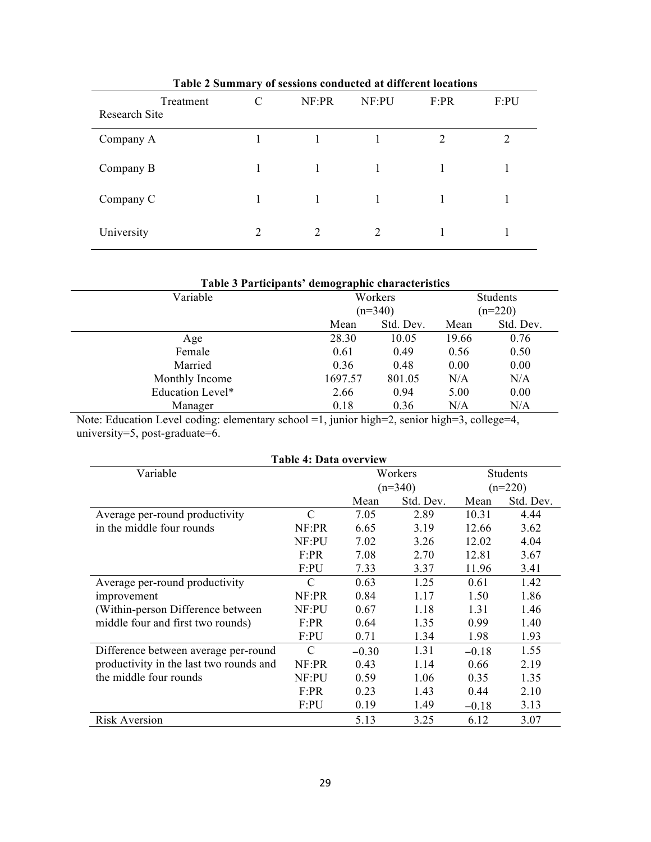| Treatment<br>Research Site | C | NF:PR | NF:PU | F:PR           | F:PU |
|----------------------------|---|-------|-------|----------------|------|
| Company A                  |   |       |       | $\overline{2}$ | 2    |
| Company B                  |   |       |       |                |      |
| Company C                  |   |       |       |                |      |
| University                 | 2 | 2     | 2     |                |      |

# **Table 2 Summary of sessions conducted at different locations**

| Table 3 Participants' demographic characteristics |         |           |       |           |  |  |  |  |  |  |
|---------------------------------------------------|---------|-----------|-------|-----------|--|--|--|--|--|--|
| Variable                                          |         | Workers   |       | Students  |  |  |  |  |  |  |
|                                                   |         | $(n=340)$ |       | $(n=220)$ |  |  |  |  |  |  |
|                                                   | Mean    | Std. Dev. | Mean  | Std. Dev. |  |  |  |  |  |  |
| Age                                               | 28.30   | 10.05     | 19.66 | 0.76      |  |  |  |  |  |  |
| Female                                            | 0.61    | 0.49      | 0.56  | 0.50      |  |  |  |  |  |  |
| Married                                           | 0.36    | 0.48      | 0.00  | 0.00      |  |  |  |  |  |  |
| Monthly Income                                    | 1697.57 | 801.05    | N/A   | N/A       |  |  |  |  |  |  |
| Education Level*                                  | 2.66    | 0.94      | 5.00  | 0.00      |  |  |  |  |  |  |
| Manager                                           | 0.18    | 0.36      | N/A   | N/A       |  |  |  |  |  |  |

Note: Education Level coding: elementary school =1, junior high=2, senior high=3, college=4, university=5, post-graduate=6.

| Table 4: Data overview                  |               |         |           |           |           |  |  |  |  |  |  |
|-----------------------------------------|---------------|---------|-----------|-----------|-----------|--|--|--|--|--|--|
| Variable                                |               |         | Workers   |           | Students  |  |  |  |  |  |  |
|                                         |               |         | $(n=340)$ | $(n=220)$ |           |  |  |  |  |  |  |
|                                         |               | Mean    | Std. Dev. | Mean      | Std. Dev. |  |  |  |  |  |  |
| Average per-round productivity          | $\mathcal{C}$ | 7.05    | 2.89      | 10.31     | 4.44      |  |  |  |  |  |  |
| in the middle four rounds               | NF:PR         | 6.65    | 3.19      | 12.66     | 3.62      |  |  |  |  |  |  |
|                                         | NF:PU         | 7.02    | 3.26      | 12.02     | 4.04      |  |  |  |  |  |  |
|                                         | F:PR          | 7.08    | 2.70      | 12.81     | 3.67      |  |  |  |  |  |  |
|                                         | F:PU          | 7.33    | 3.37      | 11.96     | 3.41      |  |  |  |  |  |  |
| Average per-round productivity          | C             | 0.63    | 1.25      | 0.61      | 1.42      |  |  |  |  |  |  |
| improvement                             | NF:PR         | 0.84    | 1.17      | 1.50      | 1.86      |  |  |  |  |  |  |
| (Within-person Difference between       | NF:PU         | 0.67    | 1.18      | 1.31      | 1.46      |  |  |  |  |  |  |
| middle four and first two rounds)       | F:PR          | 0.64    | 1.35      | 0.99      | 1.40      |  |  |  |  |  |  |
|                                         | F:PU          | 0.71    | 1.34      | 1.98      | 1.93      |  |  |  |  |  |  |
| Difference between average per-round    | C             | $-0.30$ | 1.31      | $-0.18$   | 1.55      |  |  |  |  |  |  |
| productivity in the last two rounds and | NF:PR         | 0.43    | 1.14      | 0.66      | 2.19      |  |  |  |  |  |  |
| the middle four rounds                  | NF:PU         | 0.59    | 1.06      | 0.35      | 1.35      |  |  |  |  |  |  |
|                                         | F:PR          | 0.23    | 1.43      | 0.44      | 2.10      |  |  |  |  |  |  |
|                                         | F:PU          | 0.19    | 1.49      | $-0.18$   | 3.13      |  |  |  |  |  |  |
| <b>Risk Aversion</b>                    |               | 5.13    | 3.25      | 6.12      | 3.07      |  |  |  |  |  |  |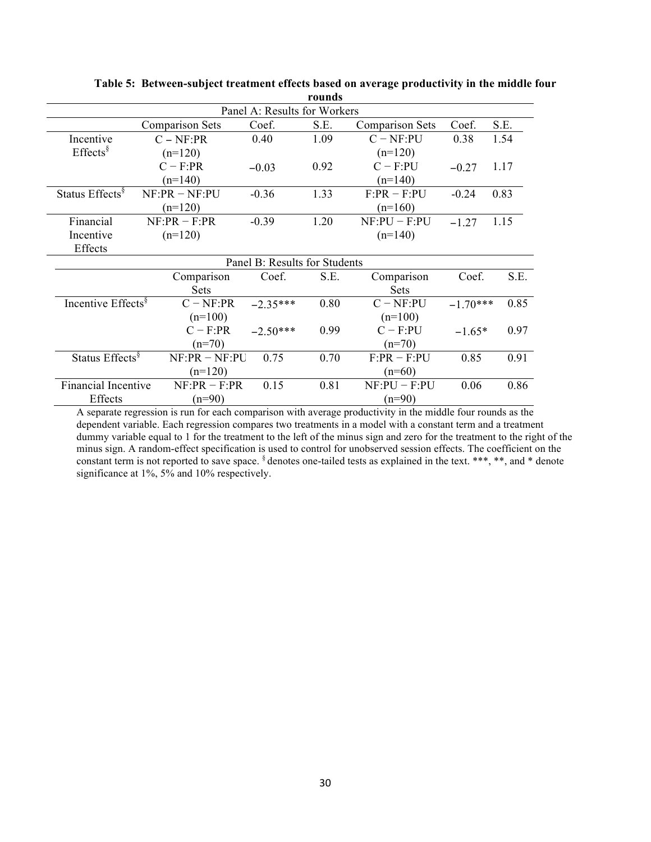|                                |                               | Panel A: Results for Workers |      |                        |            |      |  |  |
|--------------------------------|-------------------------------|------------------------------|------|------------------------|------------|------|--|--|
|                                | <b>Comparison Sets</b>        | Coef.                        | S.E. | <b>Comparison Sets</b> | Coef.      | S.E. |  |  |
| Incentive                      | $C - NF: PR$                  | 0.40                         | 1.09 | $C - NF$ :PU           | 0.38       | 1.54 |  |  |
| $E \text{ffects}$ <sup>§</sup> | $(n=120)$                     |                              |      | $(n=120)$              |            |      |  |  |
|                                | $C - F:PR$                    | $-0.03$                      | 0.92 | $C - F:PU$             | $-0.27$    | 1.17 |  |  |
|                                | $(n=140)$                     |                              |      | $(n=140)$              |            |      |  |  |
| Status Effects <sup>§</sup>    | $NF:PR - NF:PU$               | $-0.36$                      | 1.33 | $F:PR - F:PU$          | $-0.24$    | 0.83 |  |  |
|                                | $(n=120)$                     |                              |      | $(n=160)$              |            |      |  |  |
| Financial                      | $NF:PR - F:PR$                | $-0.39$                      | 1.20 | $NF:PU - F:PU$         | $-1.27$    | 1.15 |  |  |
| Incentive                      | $(n=120)$                     |                              |      | $(n=140)$              |            |      |  |  |
| Effects                        |                               |                              |      |                        |            |      |  |  |
|                                | Panel B: Results for Students |                              |      |                        |            |      |  |  |
|                                | Comparison                    | Coef.                        | S.E. | Comparison             | Coef.      | S.E. |  |  |
|                                | <b>Sets</b>                   |                              |      | <b>Sets</b>            |            |      |  |  |
| Incentive Effects <sup>§</sup> | $C - NF: PR$                  | $-2.35***$                   | 0.80 | $C - NF$ :PU           | $-1.70***$ | 0.85 |  |  |
|                                | $(n=100)$                     |                              |      | $(n=100)$              |            |      |  |  |
|                                | $C - F:PR$                    | $-2.50***$                   | 0.99 | $C - F:PU$             | $-1.65*$   | 0.97 |  |  |
|                                | $(n=70)$                      |                              |      | $(n=70)$               |            |      |  |  |
| Status Effects <sup>§</sup>    | $NF:PR - NF:PU$               | 0.75                         | 0.70 | $F:PR - F:PU$          | 0.85       | 0.91 |  |  |
|                                | $(n=120)$                     |                              |      | $(n=60)$               |            |      |  |  |
| Financial Incentive            | $NF:PR - F:PR$                | 0.15                         | 0.81 | $NF:PU-F:PU$<br>0.06   |            | 0.86 |  |  |
| Effects                        | $(n=90)$                      |                              |      | $(n=90)$               |            |      |  |  |

**Table 5: Between-subject treatment effects based on average productivity in the middle four rounds**

A separate regression is run for each comparison with average productivity in the middle four rounds as the dependent variable. Each regression compares two treatments in a model with a constant term and a treatment dummy variable equal to 1 for the treatment to the left of the minus sign and zero for the treatment to the right of the minus sign. A random-effect specification is used to control for unobserved session effects. The coefficient on the constant term is not reported to save space.  $\frac{1}{3}$  denotes one-tailed tests as explained in the text. \*\*\*, \*\*, and \* denote significance at 1%, 5% and 10% respectively.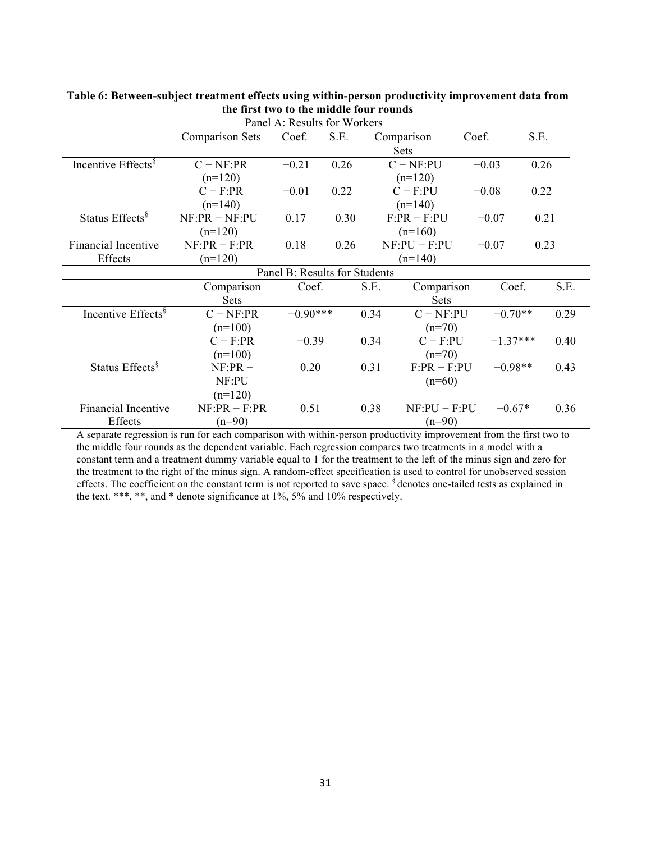| Panel A: Results for Workers   |                        |                 |      |                |                |            |      |  |  |  |  |
|--------------------------------|------------------------|-----------------|------|----------------|----------------|------------|------|--|--|--|--|
|                                | <b>Comparison Sets</b> | Coef.           | S.E. |                | Comparison     | Coef.      | S.E. |  |  |  |  |
|                                |                        |                 |      |                | <b>Sets</b>    |            |      |  |  |  |  |
| Incentive Effects <sup>§</sup> | $C - NF: PR$           | 0.26<br>$-0.21$ |      |                | $C - NF$ :PU   | $-0.03$    | 0.26 |  |  |  |  |
|                                | $(n=120)$              |                 |      |                | $(n=120)$      |            |      |  |  |  |  |
|                                | $C - F:PR$             | $-0.01$         | 0.22 |                | $C - F:PU$     | $-0.08$    | 0.22 |  |  |  |  |
|                                | $(n=140)$              |                 |      |                | $(n=140)$      |            |      |  |  |  |  |
| Status Effects <sup>§</sup>    | $NF:PR - NF:PU$        | 0.17            | 0.30 |                | $F:PR - F:PU$  | $-0.07$    | 0.21 |  |  |  |  |
|                                | $(n=120)$              |                 |      |                | $(n=160)$      |            |      |  |  |  |  |
| <b>Financial Incentive</b>     | $NF:PR - F:PR$         | 0.18            | 0.26 | $NF:PU - F:PU$ |                | $-0.07$    | 0.23 |  |  |  |  |
| Effects                        | $(n=120)$              |                 |      |                | $(n=140)$      |            |      |  |  |  |  |
| Panel B: Results for Students  |                        |                 |      |                |                |            |      |  |  |  |  |
|                                | Comparison             | Coef.           |      | S.E.           | Comparison     | Coef.      | S.E. |  |  |  |  |
|                                | <b>Sets</b>            |                 |      |                | Sets           |            |      |  |  |  |  |
| Incentive Effects <sup>§</sup> | $C - NF: PR$           | $-0.90***$      |      | 0.34           | $C - NF$ :PU   | $-0.70**$  | 0.29 |  |  |  |  |
|                                | $(n=100)$              |                 |      |                | $(n=70)$       |            |      |  |  |  |  |
|                                | $C - F:PR$             | $-0.39$         |      | 0.34           | $C - F:PU$     | $-1.37***$ | 0.40 |  |  |  |  |
|                                | $(n=100)$              |                 |      |                | $(n=70)$       |            |      |  |  |  |  |
| Status Effects <sup>§</sup>    | $NF:PR -$              | 0.20            |      | 0.31           | $F:PR - F:PU$  | $-0.98**$  | 0.43 |  |  |  |  |
|                                | NF:PU                  |                 |      |                | $(n=60)$       |            |      |  |  |  |  |
|                                | $(n=120)$              |                 |      |                |                |            |      |  |  |  |  |
| <b>Financial Incentive</b>     | $NF:PR - F:PR$         | 0.51            |      | 0.38           | $NF:PU - F:PU$ | $-0.67*$   | 0.36 |  |  |  |  |
| Effects                        | $(n=90)$               |                 |      |                | $(n=90)$       |            |      |  |  |  |  |

**Table 6: Between-subject treatment effects using within-person productivity improvement data from the first two to the middle four rounds**

A separate regression is run for each comparison with within-person productivity improvement from the first two to the middle four rounds as the dependent variable. Each regression compares two treatments in a model with a constant term and a treatment dummy variable equal to 1 for the treatment to the left of the minus sign and zero for the treatment to the right of the minus sign. A random-effect specification is used to control for unobserved session effects. The coefficient on the constant term is not reported to save space. <sup>§</sup> denotes one-tailed tests as explained in the text. \*\*\*, \*\*, and \* denote significance at 1%, 5% and 10% respectively.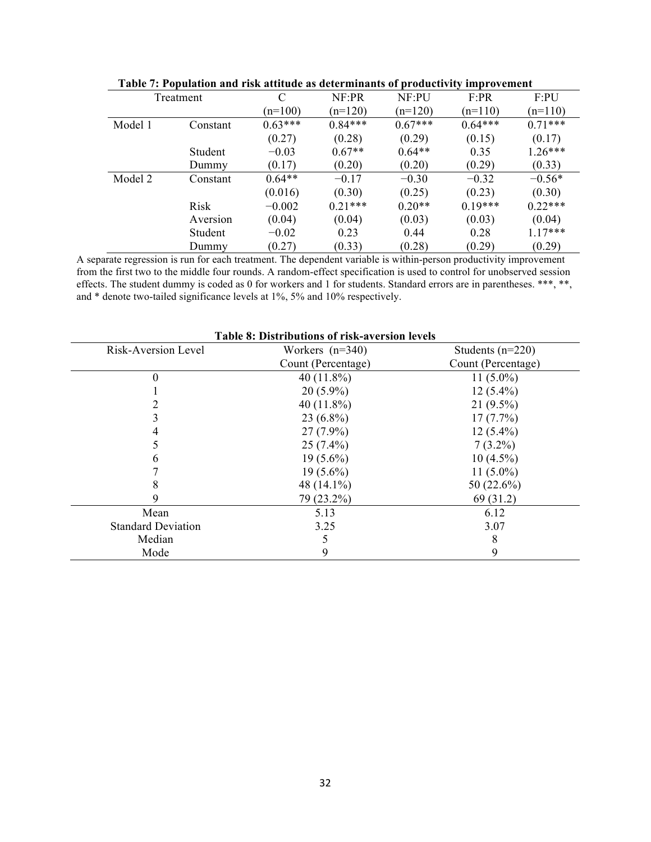|         |           |           |           |           | ั⊌        |           |
|---------|-----------|-----------|-----------|-----------|-----------|-----------|
|         | Treatment | C         | NF:PR     | NF:PU     | F:PR      | F:PU      |
|         |           | $(n=100)$ | $(n=120)$ | $(n=120)$ | $(n=110)$ | $(n=110)$ |
| Model 1 | Constant  | $0.63***$ | $0.84***$ | $0.67***$ | $0.64***$ | $0.71***$ |
|         |           | (0.27)    | (0.28)    | (0.29)    | (0.15)    | (0.17)    |
|         | Student   | $-0.03$   | $0.67**$  | $0.64**$  | 0.35      | $1.26***$ |
|         | Dummy     | (0.17)    | (0.20)    | (0.20)    | (0.29)    | (0.33)    |
| Model 2 | Constant  | $0.64**$  | $-0.17$   | $-0.30$   | $-0.32$   | $-0.56*$  |
|         |           | (0.016)   | (0.30)    | (0.25)    | (0.23)    | (0.30)    |
|         | Risk      | $-0.002$  | $0.21***$ | $0.20**$  | $0.19***$ | $0.22***$ |
|         | Aversion  | (0.04)    | (0.04)    | (0.03)    | (0.03)    | (0.04)    |
|         | Student   | $-0.02$   | 0.23      | 0.44      | 0.28      | $1.17***$ |
|         | Dummy     | (0.27)    | (0.33)    | (0.28)    | (0.29)    | (0.29)    |

|  |  |  |  |  |  |  | Table 7: Population and risk attitude as determinants of productivity improvement |
|--|--|--|--|--|--|--|-----------------------------------------------------------------------------------|
|  |  |  |  |  |  |  |                                                                                   |

A separate regression is run for each treatment. The dependent variable is within-person productivity improvement from the first two to the middle four rounds. A random-effect specification is used to control for unobserved session effects. The student dummy is coded as 0 for workers and 1 for students. Standard errors are in parentheses. \*\*\*, \*\*, and \* denote two-tailed significance levels at 1%, 5% and 10% respectively.

| Lable 8: Distributions of risk-aversion levels |                    |                    |  |  |  |  |  |  |  |  |  |
|------------------------------------------------|--------------------|--------------------|--|--|--|--|--|--|--|--|--|
| Risk-Aversion Level                            | Workers $(n=340)$  | Students $(n=220)$ |  |  |  |  |  |  |  |  |  |
|                                                | Count (Percentage) | Count (Percentage) |  |  |  |  |  |  |  |  |  |
|                                                | 40 $(11.8\%)$      | 11 $(5.0\%)$       |  |  |  |  |  |  |  |  |  |
|                                                | $20(5.9\%)$        | $12(5.4\%)$        |  |  |  |  |  |  |  |  |  |
|                                                | 40 $(11.8\%)$      | $21(9.5\%)$        |  |  |  |  |  |  |  |  |  |
|                                                | $23(6.8\%)$        | 17(7.7%)           |  |  |  |  |  |  |  |  |  |
|                                                | $27(7.9\%)$        | $12(5.4\%)$        |  |  |  |  |  |  |  |  |  |
|                                                | $25(7.4\%)$        | $7(3.2\%)$         |  |  |  |  |  |  |  |  |  |
|                                                | $19(5.6\%)$        | $10(4.5\%)$        |  |  |  |  |  |  |  |  |  |
|                                                | $19(5.6\%)$        | 11 $(5.0\%)$       |  |  |  |  |  |  |  |  |  |
|                                                | 48 $(14.1\%)$      | 50 (22.6%)         |  |  |  |  |  |  |  |  |  |
|                                                | 79 (23.2%)         | 69 (31.2)          |  |  |  |  |  |  |  |  |  |
| Mean                                           | 5.13               | 6.12               |  |  |  |  |  |  |  |  |  |
| <b>Standard Deviation</b>                      | 3.25               | 3.07               |  |  |  |  |  |  |  |  |  |
| Median                                         |                    | 8                  |  |  |  |  |  |  |  |  |  |
| Mode                                           | 9                  | 9                  |  |  |  |  |  |  |  |  |  |

**Table 8: Distributions of risk-aversion levels**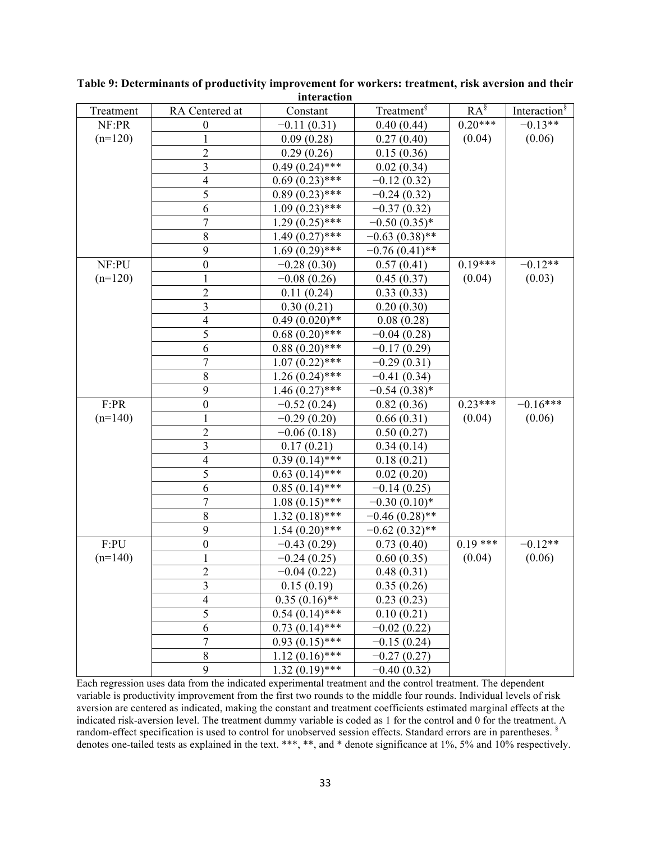| Treatment | RA Centered at           | Constant         | Treatment <sup>§</sup> | $RA^{\S}$ | Interaction <sup>§</sup> |
|-----------|--------------------------|------------------|------------------------|-----------|--------------------------|
| NF:PR     | $\boldsymbol{0}$         | $-0.11(0.31)$    | 0.40(0.44)             | $0.20***$ | $-0.13**$                |
| $(n=120)$ |                          | 0.09(0.28)       | 0.27(0.40)             | (0.04)    | (0.06)                   |
|           | $\overline{c}$           | 0.29(0.26)       | 0.15(0.36)             |           |                          |
|           | 3                        | $0.49(0.24)$ *** | 0.02(0.34)             |           |                          |
|           | 4                        | $0.69(0.23)$ *** | $-0.12(0.32)$          |           |                          |
|           | 5                        | $0.89(0.23)$ *** | $-0.24(0.32)$          |           |                          |
|           | 6                        | $1.09(0.23)$ *** | $-0.37(0.32)$          |           |                          |
|           | 7                        | $1.29(0.25)$ *** | $-0.50(0.35)*$         |           |                          |
|           | $8\,$                    | $1.49(0.27)$ *** | $-0.63(0.38)$ **       |           |                          |
|           | 9                        | $1.69(0.29)$ *** | $-0.76(0.41)$ **       |           |                          |
| NF:PU     | $\boldsymbol{0}$         | $-0.28(0.30)$    | 0.57(0.41)             | $0.19***$ | $-0.12**$                |
| $(n=120)$ |                          | $-0.08(0.26)$    | 0.45(0.37)             | (0.04)    | (0.03)                   |
|           | $\overline{c}$           | 0.11(0.24)       | 0.33(0.33)             |           |                          |
|           | 3                        | 0.30(0.21)       | 0.20(0.30)             |           |                          |
|           | $\overline{\mathbf{4}}$  | $0.49(0.020)**$  | 0.08(0.28)             |           |                          |
|           | 5                        | $0.68(0.20)$ *** | $-0.04(0.28)$          |           |                          |
|           | 6                        | $0.88(0.20)$ *** | $-0.17(0.29)$          |           |                          |
|           | $\overline{7}$           | $1.07(0.22)$ *** | $-0.29(0.31)$          |           |                          |
|           | $8\,$                    | $1.26(0.24)$ *** | $-0.41(0.34)$          |           |                          |
|           | 9                        | $1.46(0.27)$ *** | $-0.54(0.38)$ *        |           |                          |
| F:PR      | $\boldsymbol{0}$         | $-0.52(0.24)$    | 0.82(0.36)             | $0.23***$ | $-0.16***$               |
| $(n=140)$ |                          | $-0.29(0.20)$    | 0.66(0.31)             | (0.04)    | (0.06)                   |
|           | $\overline{c}$           | $-0.06(0.18)$    | 0.50(0.27)             |           |                          |
|           | 3                        | 0.17(0.21)       | 0.34(0.14)             |           |                          |
|           | $\overline{\mathcal{A}}$ | $0.39(0.14)$ *** | 0.18(0.21)             |           |                          |
|           | 5                        | $0.63(0.14)$ *** | 0.02(0.20)             |           |                          |
|           | 6                        | $0.85(0.14)$ *** | $-0.14(0.25)$          |           |                          |
|           | $\overline{7}$           | $1.08(0.15)$ *** | $-0.30(0.10)*$         |           |                          |
|           | 8                        | $1.32(0.18)$ *** | $-0.46(0.28)$ **       |           |                          |
|           | 9                        | $1.54(0.20)$ *** | $-0.62(0.32)$ **       |           |                          |
| F:PU      | $\boldsymbol{0}$         | $-0.43(0.29)$    | 0.73(0.40)             | $0.19***$ | $-0.12**$                |
| $(n=140)$ | 1                        | $-0.24(0.25)$    | 0.60(0.35)             | (0.04)    | (0.06)                   |
|           | $\overline{2}$           | $-0.04(0.22)$    | 0.48(0.31)             |           |                          |
|           | 3                        | 0.15(0.19)       | 0.35(0.26)             |           |                          |
|           | $\overline{4}$           | $0.35(0.16)$ **  | 0.23(0.23)             |           |                          |
|           | 5                        | $0.54(0.14)$ *** | 0.10(0.21)             |           |                          |
|           | 6                        | $0.73(0.14)$ *** | $-0.02(0.22)$          |           |                          |
|           | $\overline{7}$           | $0.93(0.15)$ *** | $-0.15(0.24)$          |           |                          |
|           | $8\,$                    | $1.12(0.16)$ *** | $-0.27(0.27)$          |           |                          |
|           | 9                        | $1.32(0.19)$ *** | $-0.40(0.32)$          |           |                          |

**Table 9: Determinants of productivity improvement for workers: treatment, risk aversion and their interaction** 

Each regression uses data from the indicated experimental treatment and the control treatment. The dependent variable is productivity improvement from the first two rounds to the middle four rounds. Individual levels of risk aversion are centered as indicated, making the constant and treatment coefficients estimated marginal effects at the indicated risk-aversion level. The treatment dummy variable is coded as 1 for the control and 0 for the treatment. A random-effect specification is used to control for unobserved session effects. Standard errors are in parentheses. § denotes one-tailed tests as explained in the text. \*\*\*, \*\*, and \* denote significance at 1%, 5% and 10% respectively.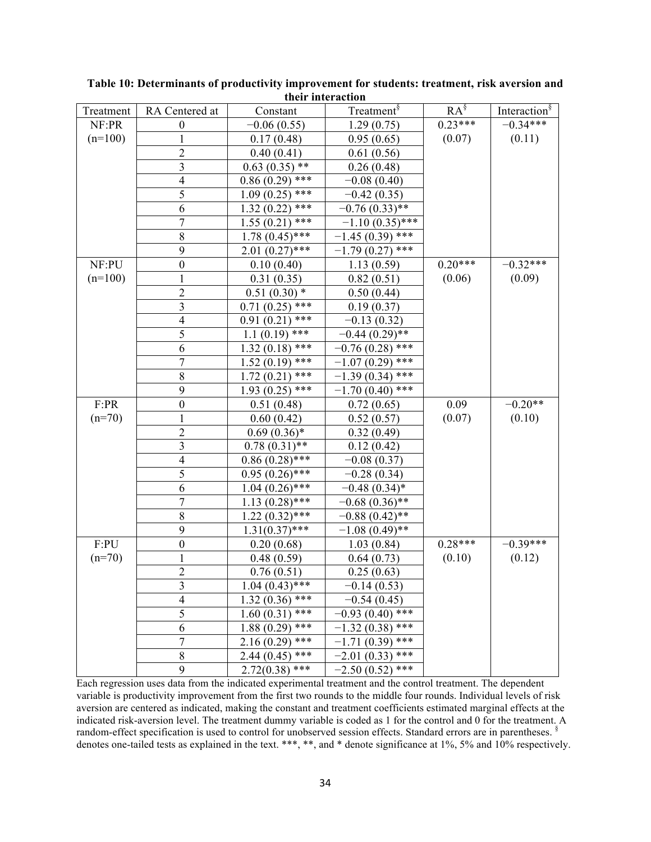| Treatment | RA Centered at           | Constant          | Treatment <sup>§</sup> | $RA^{\S}$ | Interaction <sup>§</sup> |
|-----------|--------------------------|-------------------|------------------------|-----------|--------------------------|
| NF:PR     | $\boldsymbol{0}$         | $-0.06(0.55)$     | 1.29(0.75)             | $0.23***$ | $-0.34***$               |
| $(n=100)$ | $\mathbf{1}$             | 0.17(0.48)        | 0.95(0.65)             | (0.07)    | (0.11)                   |
|           | $\overline{c}$           | 0.40(0.41)        | 0.61(0.56)             |           |                          |
|           | $\overline{\mathbf{3}}$  | $0.63(0.35)$ **   | 0.26(0.48)             |           |                          |
|           | $\overline{4}$           | $0.86(0.29)$ ***  | $-0.08(0.40)$          |           |                          |
|           | 5                        | $1.09(0.25)$ ***  | $-0.42(0.35)$          |           |                          |
|           | 6                        | $1.32(0.22)$ ***  | $-0.76(0.33)$ **       |           |                          |
|           | $\overline{7}$           | $1.55(0.21)$ ***  | $-1.10(0.35)$ ***      |           |                          |
|           | $\,$ $\,$                | $1.78(0.45)$ ***  | $-1.45(0.39)$ ***      |           |                          |
|           | 9                        | $2.01(0.27)$ ***  | $-1.79(0.27)$ ***      |           |                          |
| NF:PU     | $\boldsymbol{0}$         | 0.10(0.40)        | 1.13(0.59)             | $0.20***$ | $-0.32***$               |
| $(n=100)$ | $\mathbf 1$              | 0.31(0.35)        | 0.82(0.51)             | (0.06)    | (0.09)                   |
|           | $\overline{2}$           | $0.51(0.30)$ *    | 0.50(0.44)             |           |                          |
|           | $\overline{\mathbf{3}}$  | $0.71(0.25)$ ***  | 0.19(0.37)             |           |                          |
|           | $\overline{4}$           | $0.91(0.21)$ ***  | $-0.13(0.32)$          |           |                          |
|           | 5                        | $1.1(0.19)$ ***   | $-0.44(0.29)$ **       |           |                          |
|           | 6                        | $1.32(0.18)$ ***  | $-0.76(0.28)$ ***      |           |                          |
|           | $\overline{7}$           | $1.52(0.19)$ ***  | $-1.07(0.29)$ ***      |           |                          |
|           | $\,$ $\,$                | $1.72(0.21)$ ***  | $-1.39(0.34)$ ***      |           |                          |
|           | 9                        | $1.93(0.25)$ ***  | $-1.70(0.40)$ ***      |           |                          |
| F:PR      | $\boldsymbol{0}$         | 0.51(0.48)        | 0.72(0.65)             | 0.09      | $-0.20**$                |
| $(n=70)$  | $\mathbf{1}$             | 0.60(0.42)        | 0.52(0.57)             | (0.07)    | (0.10)                   |
|           | $\overline{\mathbf{c}}$  | $0.69(0.36)*$     | 0.32(0.49)             |           |                          |
|           | $\overline{\mathbf{3}}$  | $0.78(0.31)$ **   | 0.12(0.42)             |           |                          |
|           | $\overline{4}$           | $0.86(0.28)$ ***  | $-0.08(0.37)$          |           |                          |
|           | 5                        | $0.95(0.26)$ ***  | $-0.28(0.34)$          |           |                          |
|           | 6                        | $1.04~(0.26)$ *** | $-0.48(0.34)$ *        |           |                          |
|           | $\overline{7}$           | $1.13(0.28)$ ***  | $-0.68(0.36)$ **       |           |                          |
|           | 8                        | $1.22(0.32)$ ***  | $-0.88(0.42)$ **       |           |                          |
|           | 9                        | $1.31(0.37)$ ***  | $-1.08(0.49)$ **       |           |                          |
| F:PU      | $\boldsymbol{0}$         | 0.20(0.68)        | 1.03(0.84)             | $0.28***$ | $-0.39***$               |
| $(n=70)$  | $\mathbf{1}$             | 0.48(0.59)        | 0.64(0.73)             | (0.10)    | (0.12)                   |
|           | $\overline{2}$           | 0.76(0.51)        | 0.25(0.63)             |           |                          |
|           | 3                        | $1.04(0.43)$ ***  | $-0.14(0.53)$          |           |                          |
|           | $\overline{\mathcal{A}}$ | $1.32(0.36)$ ***  | $-0.54(0.45)$          |           |                          |
|           | $\overline{5}$           | $1.60(0.31)$ ***  | $-0.93(0.40)$ ***      |           |                          |
|           | 6                        | $1.88(0.29)$ ***  | $-1.32(0.38)$ ***      |           |                          |
|           | $\overline{7}$           | $2.16(0.29)$ ***  | $-1.71(0.39)$ ***      |           |                          |
|           | $8\,$                    | $2.44(0.45)$ ***  | $-2.01(0.33)$ ***      |           |                          |
|           | 9                        | $2.72(0.38)$ ***  | $-2.50(0.52)$ ***      |           |                          |

**Table 10: Determinants of productivity improvement for students: treatment, risk aversion and their interaction**

Each regression uses data from the indicated experimental treatment and the control treatment. The dependent variable is productivity improvement from the first two rounds to the middle four rounds. Individual levels of risk aversion are centered as indicated, making the constant and treatment coefficients estimated marginal effects at the indicated risk-aversion level. The treatment dummy variable is coded as 1 for the control and 0 for the treatment. A random-effect specification is used to control for unobserved session effects. Standard errors are in parentheses. § denotes one-tailed tests as explained in the text. \*\*\*, \*\*, and \* denote significance at 1%, 5% and 10% respectively.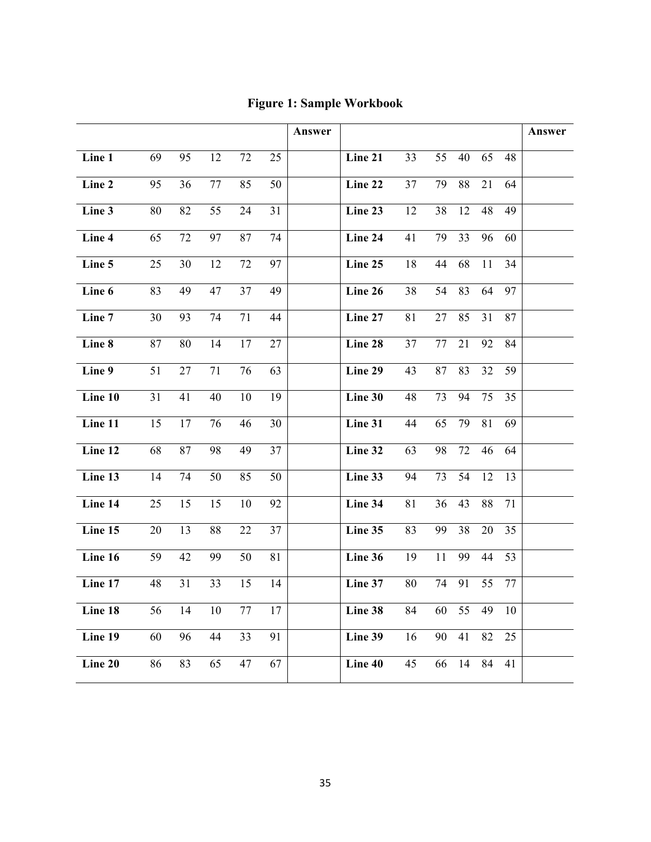|         |    |    |    |    |    | Answer |         |    |    |    |    |    | Answer |
|---------|----|----|----|----|----|--------|---------|----|----|----|----|----|--------|
| Line 1  | 69 | 95 | 12 | 72 | 25 |        | Line 21 | 33 | 55 | 40 | 65 | 48 |        |
| Line 2  | 95 | 36 | 77 | 85 | 50 |        | Line 22 | 37 | 79 | 88 | 21 | 64 |        |
| Line 3  | 80 | 82 | 55 | 24 | 31 |        | Line 23 | 12 | 38 | 12 | 48 | 49 |        |
| Line 4  | 65 | 72 | 97 | 87 | 74 |        | Line 24 | 41 | 79 | 33 | 96 | 60 |        |
| Line 5  | 25 | 30 | 12 | 72 | 97 |        | Line 25 | 18 | 44 | 68 | 11 | 34 |        |
| Line 6  | 83 | 49 | 47 | 37 | 49 |        | Line 26 | 38 | 54 | 83 | 64 | 97 |        |
| Line 7  | 30 | 93 | 74 | 71 | 44 |        | Line 27 | 81 | 27 | 85 | 31 | 87 |        |
| Line 8  | 87 | 80 | 14 | 17 | 27 |        | Line 28 | 37 | 77 | 21 | 92 | 84 |        |
| Line 9  | 51 | 27 | 71 | 76 | 63 |        | Line 29 | 43 | 87 | 83 | 32 | 59 |        |
| Line 10 | 31 | 41 | 40 | 10 | 19 |        | Line 30 | 48 | 73 | 94 | 75 | 35 |        |
| Line 11 | 15 | 17 | 76 | 46 | 30 |        | Line 31 | 44 | 65 | 79 | 81 | 69 |        |
| Line 12 | 68 | 87 | 98 | 49 | 37 |        | Line 32 | 63 | 98 | 72 | 46 | 64 |        |
| Line 13 | 14 | 74 | 50 | 85 | 50 |        | Line 33 | 94 | 73 | 54 | 12 | 13 |        |
| Line 14 | 25 | 15 | 15 | 10 | 92 |        | Line 34 | 81 | 36 | 43 | 88 | 71 |        |
| Line 15 | 20 | 13 | 88 | 22 | 37 |        | Line 35 | 83 | 99 | 38 | 20 | 35 |        |
| Line 16 | 59 | 42 | 99 | 50 | 81 |        | Line 36 | 19 | 11 | 99 | 44 | 53 |        |
| Line 17 | 48 | 31 | 33 | 15 | 14 |        | Line 37 | 80 | 74 | 91 | 55 | 77 |        |
| Line 18 | 56 | 14 | 10 | 77 | 17 |        | Line 38 | 84 | 60 | 55 | 49 | 10 |        |
| Line 19 | 60 | 96 | 44 | 33 | 91 |        | Line 39 | 16 | 90 | 41 | 82 | 25 |        |
| Line 20 | 86 | 83 | 65 | 47 | 67 |        | Line 40 | 45 | 66 | 14 | 84 | 41 |        |

**Figure 1: Sample Workbook**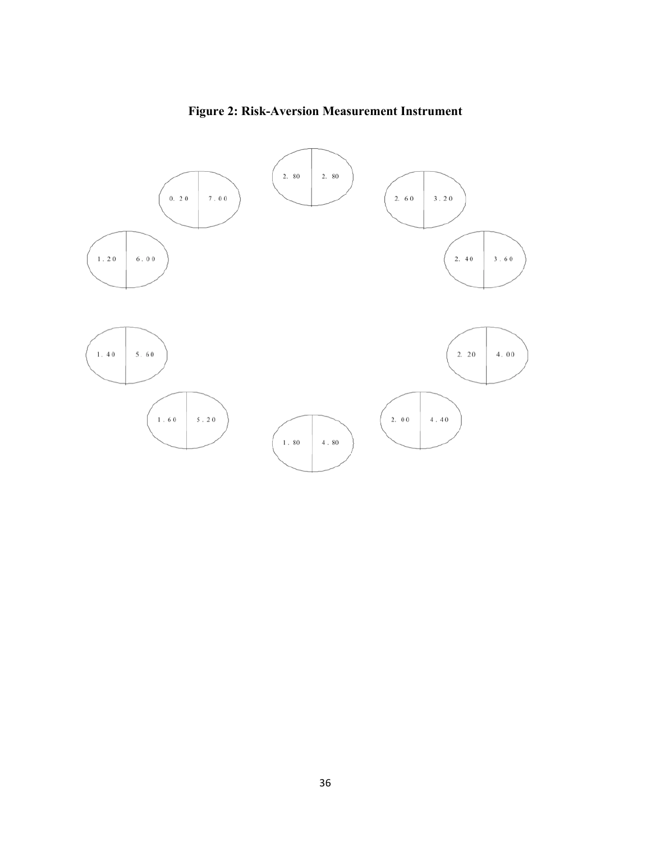

**Figure 2: Risk-Aversion Measurement Instrument**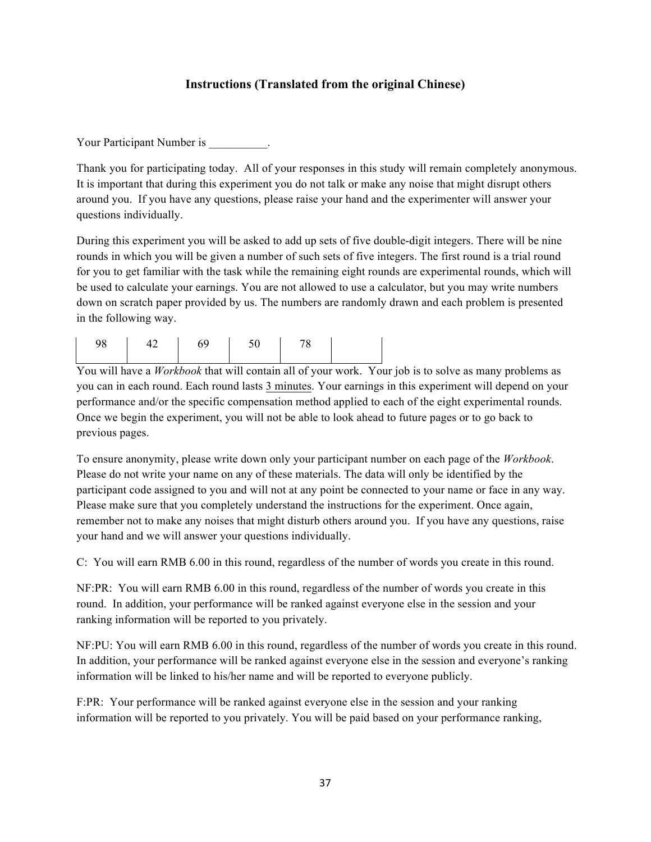### **Instructions (Translated from the original Chinese)**

Your Participant Number is \_\_\_\_\_\_\_\_\_.

Thank you for participating today. All of your responses in this study will remain completely anonymous. It is important that during this experiment you do not talk or make any noise that might disrupt others around you. If you have any questions, please raise your hand and the experimenter will answer your questions individually.

During this experiment you will be asked to add up sets of five double-digit integers. There will be nine rounds in which you will be given a number of such sets of five integers. The first round is a trial round for you to get familiar with the task while the remaining eight rounds are experimental rounds, which will be used to calculate your earnings. You are not allowed to use a calculator, but you may write numbers down on scratch paper provided by us. The numbers are randomly drawn and each problem is presented in the following way.

| $\begin{vmatrix} 42 & 69 \end{vmatrix}$<br>98 | $\frac{50}{ }$ |  |  |
|-----------------------------------------------|----------------|--|--|
|-----------------------------------------------|----------------|--|--|

You will have a *Workbook* that will contain all of your work. Your job is to solve as many problems as you can in each round. Each round lasts 3 minutes. Your earnings in this experiment will depend on your performance and/or the specific compensation method applied to each of the eight experimental rounds. Once we begin the experiment, you will not be able to look ahead to future pages or to go back to previous pages.

To ensure anonymity, please write down only your participant number on each page of the *Workbook*. Please do not write your name on any of these materials. The data will only be identified by the participant code assigned to you and will not at any point be connected to your name or face in any way. Please make sure that you completely understand the instructions for the experiment. Once again, remember not to make any noises that might disturb others around you. If you have any questions, raise your hand and we will answer your questions individually.

C: You will earn RMB 6.00 in this round, regardless of the number of words you create in this round.

NF:PR: You will earn RMB 6.00 in this round, regardless of the number of words you create in this round. In addition, your performance will be ranked against everyone else in the session and your ranking information will be reported to you privately.

NF:PU: You will earn RMB 6.00 in this round, regardless of the number of words you create in this round. In addition, your performance will be ranked against everyone else in the session and everyone's ranking information will be linked to his/her name and will be reported to everyone publicly.

F:PR: Your performance will be ranked against everyone else in the session and your ranking information will be reported to you privately. You will be paid based on your performance ranking,